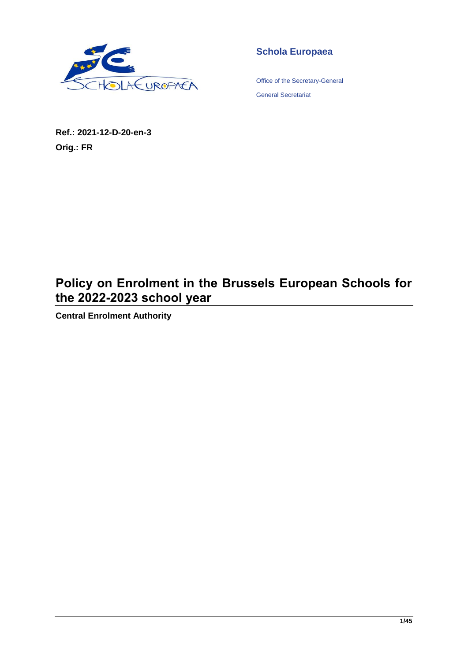

**Schola Europaea**

Office of the Secretary-General General Secretariat

**Ref.: 2021-12-D-20-en-3 Orig.: FR**

# **Policy on Enrolment in the Brussels European Schools for the 2022-2023 school year**

**Central Enrolment Authority**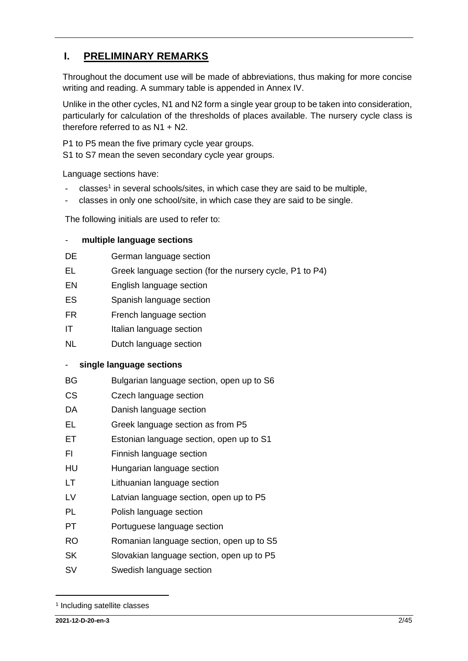# <span id="page-1-0"></span>**I. PRELIMINARY REMARKS**

Throughout the document use will be made of abbreviations, thus making for more concise writing and reading. A summary table is appended in Annex IV.

Unlike in the other cycles, N1 and N2 form a single year group to be taken into consideration, particularly for calculation of the thresholds of places available. The nursery cycle class is therefore referred to as N1 + N2.

P1 to P5 mean the five primary cycle year groups.

S1 to S7 mean the seven secondary cycle year groups.

Language sections have:

- classes<sup>1</sup> in several schools/sites, in which case they are said to be multiple,
- classes in only one school/site, in which case they are said to be single.

The following initials are used to refer to:

#### - **multiple language sections**

- DE German language section
- EL Greek language section (for the nursery cycle, P1 to P4)
- EN English language section
- ES Spanish language section
- FR French language section
- IT Italian language section
- NL Dutch language section

#### - **single language sections**

- BG Bulgarian language section, open up to S6
- CS Czech language section
- DA Danish language section
- EL Greek language section as from P5
- ET Estonian language section, open up to S1
- FI Finnish language section
- HU Hungarian language section
- LT Lithuanian language section
- LV Latvian language section, open up to P5
- PL Polish language section
- PT Portuguese language section
- RO Romanian language section, open up to S5
- SK Slovakian language section, open up to P5
- SV Swedish language section

<sup>1</sup> Including satellite classes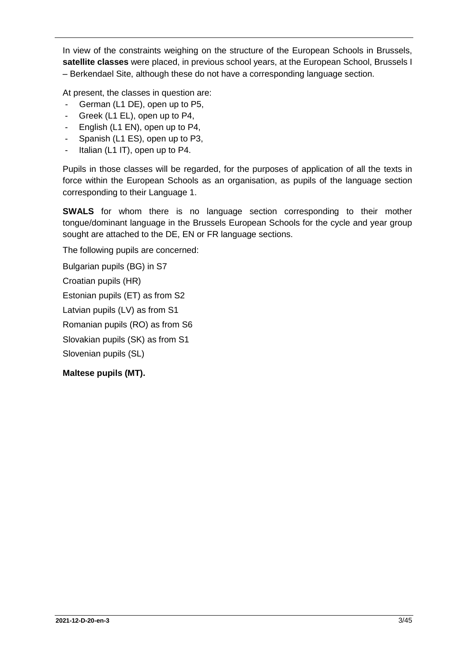In view of the constraints weighing on the structure of the European Schools in Brussels, **satellite classes** were placed, in previous school years, at the European School, Brussels I – Berkendael Site, although these do not have a corresponding language section.

At present, the classes in question are:

- German (L1 DE), open up to P5,
- Greek (L1 EL), open up to P4,
- English (L1 EN), open up to P4,
- Spanish (L1 ES), open up to P3,
- Italian (L1 IT), open up to P4.

Pupils in those classes will be regarded, for the purposes of application of all the texts in force within the European Schools as an organisation, as pupils of the language section corresponding to their Language 1.

**SWALS** for whom there is no language section corresponding to their mother tongue/dominant language in the Brussels European Schools for the cycle and year group sought are attached to the DE, EN or FR language sections.

The following pupils are concerned:

Bulgarian pupils (BG) in S7

Croatian pupils (HR)

Estonian pupils (ET) as from S2

Latvian pupils (LV) as from S1

Romanian pupils (RO) as from S6

Slovakian pupils (SK) as from S1

Slovenian pupils (SL)

**Maltese pupils (MT).**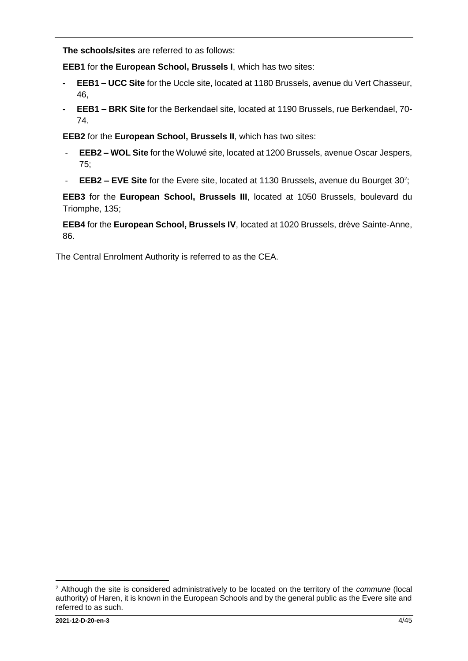**The schools/sites** are referred to as follows:

**EEB1** for **the European School, Brussels I**, which has two sites:

- **- EEB1 – UCC Site** for the Uccle site, located at 1180 Brussels, avenue du Vert Chasseur, 46,
- **- EEB1 – BRK Site** for the Berkendael site, located at 1190 Brussels, rue Berkendael, 70- 74.

**EEB2** for the **European School, Brussels II**, which has two sites:

- **EEB2 – WOL Site** for the Woluwé site, located at 1200 Brussels, avenue Oscar Jespers, 75;
- **EEB2 EVE Site** for the Evere site, located at 1130 Brussels, avenue du Bourget 30<sup>2</sup>;

**EEB3** for the **European School, Brussels III**, located at 1050 Brussels, boulevard du Triomphe, 135;

**EEB4** for the **European School, Brussels IV**, located at 1020 Brussels, drève Sainte-Anne, 86.

The Central Enrolment Authority is referred to as the CEA.

<sup>2</sup> Although the site is considered administratively to be located on the territory of the *commune* (local authority) of Haren, it is known in the European Schools and by the general public as the Evere site and referred to as such.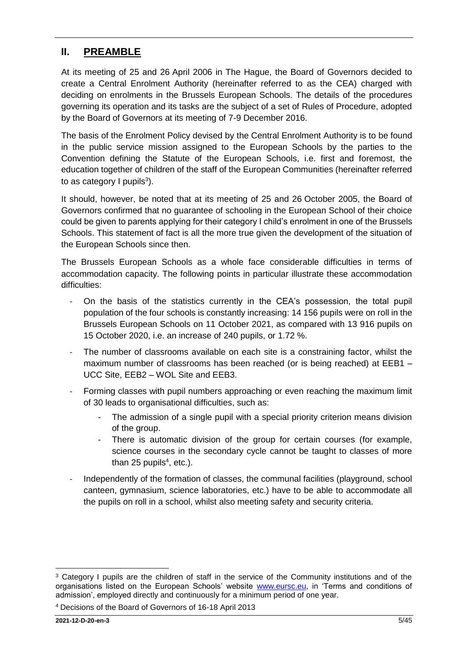# <span id="page-4-0"></span>**II. PREAMBLE**

At its meeting of 25 and 26 April 2006 in The Hague, the Board of Governors decided to create a Central Enrolment Authority (hereinafter referred to as the CEA) charged with deciding on enrolments in the Brussels European Schools. The details of the procedures governing its operation and its tasks are the subject of a set of Rules of Procedure, adopted by the Board of Governors at its meeting of 7-9 December 2016.

The basis of the Enrolment Policy devised by the Central Enrolment Authority is to be found in the public service mission assigned to the European Schools by the parties to the Convention defining the Statute of the European Schools, i.e. first and foremost, the education together of children of the staff of the European Communities (hereinafter referred to as category I pupils<sup>3</sup>).

It should, however, be noted that at its meeting of 25 and 26 October 2005, the Board of Governors confirmed that no guarantee of schooling in the European School of their choice could be given to parents applying for their category I child's enrolment in one of the Brussels Schools. This statement of fact is all the more true given the development of the situation of the European Schools since then.

The Brussels European Schools as a whole face considerable difficulties in terms of accommodation capacity. The following points in particular illustrate these accommodation difficulties:

- On the basis of the statistics currently in the CEA's possession, the total pupil population of the four schools is constantly increasing: 14 156 pupils were on roll in the Brussels European Schools on 11 October 2021, as compared with 13 916 pupils on 15 October 2020, i.e. an increase of 240 pupils, or 1.72 %.
- The number of classrooms available on each site is a constraining factor, whilst the maximum number of classrooms has been reached (or is being reached) at EEB1 – UCC Site, EEB2 – WOL Site and EEB3.
- Forming classes with pupil numbers approaching or even reaching the maximum limit of 30 leads to organisational difficulties, such as:
	- The admission of a single pupil with a special priority criterion means division of the group.
	- There is automatic division of the group for certain courses (for example, science courses in the secondary cycle cannot be taught to classes of more than 25 pupils $4$ , etc.).
- Independently of the formation of classes, the communal facilities (playground, school canteen, gymnasium, science laboratories, etc.) have to be able to accommodate all the pupils on roll in a school, whilst also meeting safety and security criteria.

<sup>4</sup> Decisions of the Board of Governors of 16-18 April 2013

 $\overline{a}$ 

<sup>&</sup>lt;sup>3</sup> Category I pupils are the children of staff in the service of the Community institutions and of the organisations listed on the European Schools' website [www.eursc.eu,](http://www.eursc.eu/) in 'Terms and conditions of admission', employed directly and continuously for a minimum period of one year.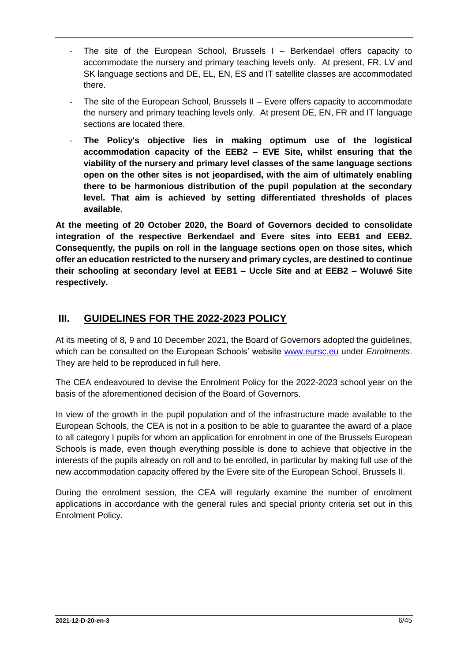- The site of the European School, Brussels  $I -$  Berkendael offers capacity to accommodate the nursery and primary teaching levels only. At present, FR, LV and SK language sections and DE, EL, EN, ES and IT satellite classes are accommodated there.
- The site of the European School, Brussels II Evere offers capacity to accommodate the nursery and primary teaching levels only. At present DE, EN, FR and IT language sections are located there.
- **The Policy's objective lies in making optimum use of the logistical accommodation capacity of the EEB2 – EVE Site, whilst ensuring that the viability of the nursery and primary level classes of the same language sections open on the other sites is not jeopardised, with the aim of ultimately enabling there to be harmonious distribution of the pupil population at the secondary level. That aim is achieved by setting differentiated thresholds of places available.**

**At the meeting of 20 October 2020, the Board of Governors decided to consolidate integration of the respective Berkendael and Evere sites into EEB1 and EEB2. Consequently, the pupils on roll in the language sections open on those sites, which offer an education restricted to the nursery and primary cycles, are destined to continue their schooling at secondary level at EEB1 – Uccle Site and at EEB2 – Woluwé Site respectively.** 

# <span id="page-5-0"></span>**III. GUIDELINES FOR THE 2022-2023 POLICY**

At its meeting of 8, 9 and 10 December 2021, the Board of Governors adopted the guidelines, which can be consulted on the European Schools' website [www.eursc.eu](http://www.eursc.eu/) under *Enrolments*. They are held to be reproduced in full here.

The CEA endeavoured to devise the Enrolment Policy for the 2022-2023 school year on the basis of the aforementioned decision of the Board of Governors.

In view of the growth in the pupil population and of the infrastructure made available to the European Schools, the CEA is not in a position to be able to guarantee the award of a place to all category I pupils for whom an application for enrolment in one of the Brussels European Schools is made, even though everything possible is done to achieve that objective in the interests of the pupils already on roll and to be enrolled, in particular by making full use of the new accommodation capacity offered by the Evere site of the European School, Brussels II.

During the enrolment session, the CEA will regularly examine the number of enrolment applications in accordance with the general rules and special priority criteria set out in this Enrolment Policy.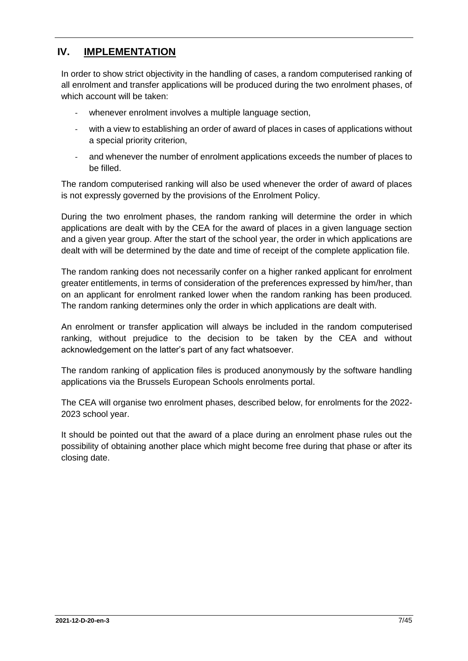# <span id="page-6-0"></span>**IV. IMPLEMENTATION**

In order to show strict objectivity in the handling of cases, a random computerised ranking of all enrolment and transfer applications will be produced during the two enrolment phases, of which account will be taken:

- whenever enrolment involves a multiple language section,
- with a view to establishing an order of award of places in cases of applications without a special priority criterion,
- and whenever the number of enrolment applications exceeds the number of places to be filled.

The random computerised ranking will also be used whenever the order of award of places is not expressly governed by the provisions of the Enrolment Policy.

During the two enrolment phases, the random ranking will determine the order in which applications are dealt with by the CEA for the award of places in a given language section and a given year group. After the start of the school year, the order in which applications are dealt with will be determined by the date and time of receipt of the complete application file.

The random ranking does not necessarily confer on a higher ranked applicant for enrolment greater entitlements, in terms of consideration of the preferences expressed by him/her, than on an applicant for enrolment ranked lower when the random ranking has been produced. The random ranking determines only the order in which applications are dealt with.

An enrolment or transfer application will always be included in the random computerised ranking, without prejudice to the decision to be taken by the CEA and without acknowledgement on the latter's part of any fact whatsoever.

The random ranking of application files is produced anonymously by the software handling applications via the Brussels European Schools enrolments portal.

The CEA will organise two enrolment phases, described below, for enrolments for the 2022- 2023 school year.

It should be pointed out that the award of a place during an enrolment phase rules out the possibility of obtaining another place which might become free during that phase or after its closing date.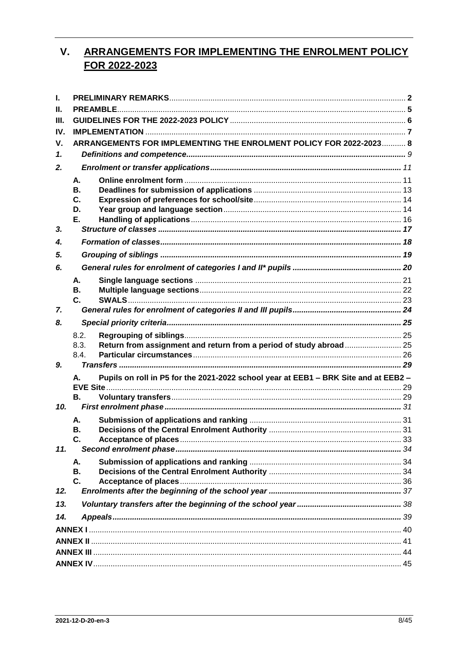#### <span id="page-7-0"></span>**ARRANGEMENTS FOR IMPLEMENTING THE ENROLMENT POLICY**  $V_{\cdot}$ FOR 2022-2023

| I.           |           |                                                                                     |  |
|--------------|-----------|-------------------------------------------------------------------------------------|--|
| Н.           |           |                                                                                     |  |
| Ш.           |           |                                                                                     |  |
| IV.          |           |                                                                                     |  |
| ۷.           |           | ARRANGEMENTS FOR IMPLEMENTING THE ENROLMENT POLICY FOR 2022-2023 8                  |  |
| $\mathbf{1}$ |           |                                                                                     |  |
| 2.           |           |                                                                                     |  |
|              | А.        |                                                                                     |  |
|              | <b>B.</b> |                                                                                     |  |
|              | C.        |                                                                                     |  |
|              | D.        |                                                                                     |  |
|              | Е.        |                                                                                     |  |
| 3.           |           |                                                                                     |  |
| 4.           |           |                                                                                     |  |
| 5.           |           |                                                                                     |  |
| 6.           |           |                                                                                     |  |
|              | А.        |                                                                                     |  |
|              | В.        |                                                                                     |  |
|              | C.        |                                                                                     |  |
| 7.           |           |                                                                                     |  |
| 8.           |           |                                                                                     |  |
|              | 8.2.      |                                                                                     |  |
|              | 8.3.      | Return from assignment and return from a period of study abroad 25                  |  |
|              | 8.4.      |                                                                                     |  |
| 9.           |           |                                                                                     |  |
|              | А.        | Pupils on roll in P5 for the 2021-2022 school year at EEB1 - BRK Site and at EEB2 - |  |
|              |           |                                                                                     |  |
| 10.          | <b>B.</b> |                                                                                     |  |
|              |           |                                                                                     |  |
|              | А.        |                                                                                     |  |
|              | В.<br>C.  |                                                                                     |  |
| 11.          |           |                                                                                     |  |
|              | А.        |                                                                                     |  |
|              | В.        |                                                                                     |  |
|              | C.        |                                                                                     |  |
| 12.          |           |                                                                                     |  |
| 13.          |           |                                                                                     |  |
| 14.          |           |                                                                                     |  |
|              |           |                                                                                     |  |
|              |           |                                                                                     |  |
|              |           |                                                                                     |  |
|              |           |                                                                                     |  |
|              |           |                                                                                     |  |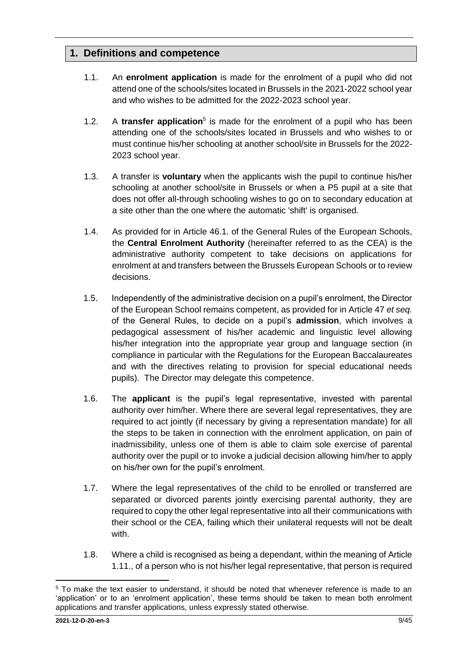# <span id="page-8-0"></span>**1. Definitions and competence**

- 1.1. An **enrolment application** is made for the enrolment of a pupil who did not attend one of the schools/sites located in Brussels in the 2021-2022 school year and who wishes to be admitted for the 2022-2023 school year.
- 1.2. A **transfer application**<sup>5</sup> is made for the enrolment of a pupil who has been attending one of the schools/sites located in Brussels and who wishes to or must continue his/her schooling at another school/site in Brussels for the 2022- 2023 school year.
- 1.3. A transfer is **voluntary** when the applicants wish the pupil to continue his/her schooling at another school/site in Brussels or when a P5 pupil at a site that does not offer all-through schooling wishes to go on to secondary education at a site other than the one where the automatic 'shift' is organised.
- 1.4. As provided for in Article 46.1. of the General Rules of the European Schools, the **Central Enrolment Authority** (hereinafter referred to as the CEA) is the administrative authority competent to take decisions on applications for enrolment at and transfers between the Brussels European Schools or to review decisions.
- 1.5. Independently of the administrative decision on a pupil's enrolment, the Director of the European School remains competent, as provided for in Article 47 *et seq.* of the General Rules, to decide on a pupil's **admission**, which involves a pedagogical assessment of his/her academic and linguistic level allowing his/her integration into the appropriate year group and language section (in compliance in particular with the Regulations for the European Baccalaureates and with the directives relating to provision for special educational needs pupils). The Director may delegate this competence.
- 1.6. The **applicant** is the pupil's legal representative, invested with parental authority over him/her. Where there are several legal representatives, they are required to act jointly (if necessary by giving a representation mandate) for all the steps to be taken in connection with the enrolment application, on pain of inadmissibility, unless one of them is able to claim sole exercise of parental authority over the pupil or to invoke a judicial decision allowing him/her to apply on his/her own for the pupil's enrolment.
- 1.7. Where the legal representatives of the child to be enrolled or transferred are separated or divorced parents jointly exercising parental authority, they are required to copy the other legal representative into all their communications with their school or the CEA, failing which their unilateral requests will not be dealt with.
- 1.8. Where a child is recognised as being a dependant, within the meaning of Article 1.11., of a person who is not his/her legal representative, that person is required

<sup>5</sup> To make the text easier to understand, it should be noted that whenever reference is made to an 'application' or to an 'enrolment application', these terms should be taken to mean both enrolment applications and transfer applications, unless expressly stated otherwise.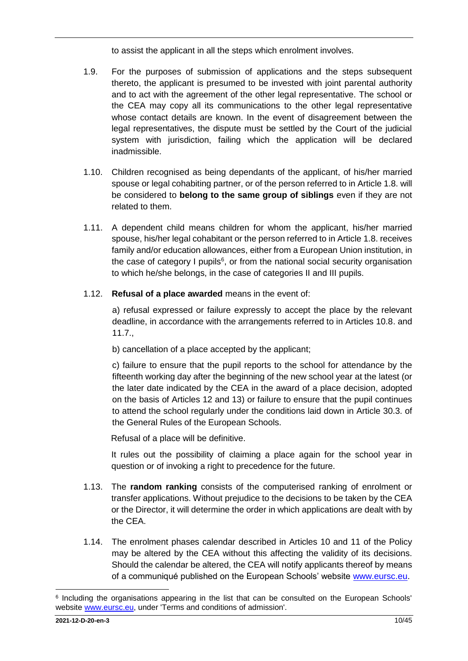to assist the applicant in all the steps which enrolment involves.

- 1.9. For the purposes of submission of applications and the steps subsequent thereto, the applicant is presumed to be invested with joint parental authority and to act with the agreement of the other legal representative. The school or the CEA may copy all its communications to the other legal representative whose contact details are known. In the event of disagreement between the legal representatives, the dispute must be settled by the Court of the judicial system with jurisdiction, failing which the application will be declared inadmissible.
- 1.10. Children recognised as being dependants of the applicant, of his/her married spouse or legal cohabiting partner, or of the person referred to in Article 1.8. will be considered to **belong to the same group of siblings** even if they are not related to them.
- 1.11. A dependent child means children for whom the applicant, his/her married spouse, his/her legal cohabitant or the person referred to in Article 1.8. receives family and/or education allowances, either from a European Union institution, in the case of category I pupils $6$ , or from the national social security organisation to which he/she belongs, in the case of categories II and III pupils.
- 1.12. **Refusal of a place awarded** means in the event of:

a) refusal expressed or failure expressly to accept the place by the relevant deadline, in accordance with the arrangements referred to in Articles 10.8. and 11.7.,

b) cancellation of a place accepted by the applicant;

c) failure to ensure that the pupil reports to the school for attendance by the fifteenth working day after the beginning of the new school year at the latest (or the later date indicated by the CEA in the award of a place decision, adopted on the basis of Articles 12 and 13) or failure to ensure that the pupil continues to attend the school regularly under the conditions laid down in Article 30.3. of the General Rules of the European Schools.

Refusal of a place will be definitive.

It rules out the possibility of claiming a place again for the school year in question or of invoking a right to precedence for the future.

- 1.13. The **random ranking** consists of the computerised ranking of enrolment or transfer applications. Without prejudice to the decisions to be taken by the CEA or the Director, it will determine the order in which applications are dealt with by the CEA.
- 1.14. The enrolment phases calendar described in Articles 10 and 11 of the Policy may be altered by the CEA without this affecting the validity of its decisions. Should the calendar be altered, the CEA will notify applicants thereof by means of a communiqué published on the European Schools' website [www.eursc.eu.](http://www.eursc.eu/)

 $\overline{a}$ <sup>6</sup> Including the organisations appearing in the list that can be consulted on the European Schools' website [www.eursc.eu,](http://www.eursc.eu/) under 'Terms and conditions of admission'.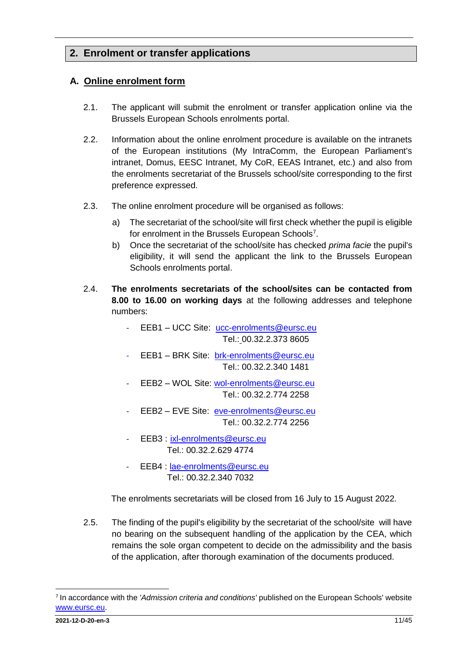# <span id="page-10-0"></span>**2. Enrolment or transfer applications**

### <span id="page-10-1"></span>**A. Online enrolment form**

- 2.1. The applicant will submit the enrolment or transfer application online via the Brussels European Schools enrolments portal.
- 2.2. Information about the online enrolment procedure is available on the intranets of the European institutions (My IntraComm, the European Parliament's intranet, Domus, EESC Intranet, My CoR, EEAS Intranet, etc.) and also from the enrolments secretariat of the Brussels school/site corresponding to the first preference expressed.
- 2.3. The online enrolment procedure will be organised as follows:
	- a) The secretariat of the school/site will first check whether the pupil is eligible for enrolment in the Brussels European Schools<sup>7</sup>.
	- b) Once the secretariat of the school/site has checked *prima facie* the pupil's eligibility, it will send the applicant the link to the Brussels European Schools enrolments portal.
- 2.4. **The enrolments secretariats of the school/sites can be contacted from 8.00 to 16.00 on working days** at the following addresses and telephone numbers:
	- EEB1 UCC Site: [ucc-enrolments@eursc.eu](mailto:ucc-enrolments@eursc.eu) Tel.: 00.32.2.373 8605
	- EEB1 BRK Site: [brk-enrolments@eursc.eu](mailto:brk-enrolments@eursc.eu) Tel.: 00.32.2.340 1481
	- EEB2 WOL Site: [wol-enrolments@eursc.eu](mailto:wol-enrolments@eursc.eu) Tel.: 00.32.2.774 2258
	- EEB2 EVE Site: [eve-enrolments@eursc.eu](mailto:eve-enrolments@eursc.eu) Tel.: 00.32.2.774 2256
	- EEB3 : [ixl-enrolments@eursc.eu](mailto:ixl-enrolments@eursc.eu) Tel.: 00.32.2.629 4774
	- EEB4 : [lae-enrolments@eursc.eu](mailto:lae-enrolments@eursc.eu) Tel.: 00.32.2.340 7032

The enrolments secretariats will be closed from 16 July to 15 August 2022.

2.5. The finding of the pupil's eligibility by the secretariat of the school/site will have no bearing on the subsequent handling of the application by the CEA, which remains the sole organ competent to decide on the admissibility and the basis of the application, after thorough examination of the documents produced.

<sup>7</sup> In accordance with the *'Admission criteria and conditions'* published on the European Schools' website [www.eursc.eu.](http://www.eursc.eu/)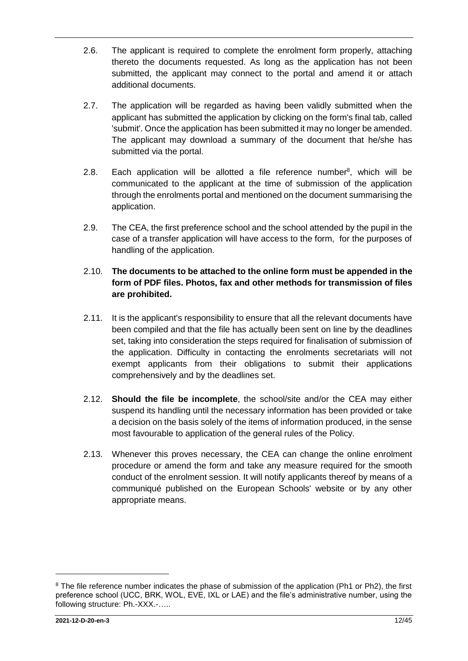- 2.6. The applicant is required to complete the enrolment form properly, attaching thereto the documents requested. As long as the application has not been submitted, the applicant may connect to the portal and amend it or attach additional documents.
- 2.7. The application will be regarded as having been validly submitted when the applicant has submitted the application by clicking on the form's final tab, called 'submit'. Once the application has been submitted it may no longer be amended. The applicant may download a summary of the document that he/she has submitted via the portal.
- 2.8. Each application will be allotted a file reference number<sup>8</sup>, which will be communicated to the applicant at the time of submission of the application through the enrolments portal and mentioned on the document summarising the application.
- 2.9. The CEA, the first preference school and the school attended by the pupil in the case of a transfer application will have access to the form, for the purposes of handling of the application.

#### 2.10. **The documents to be attached to the online form must be appended in the form of PDF files. Photos, fax and other methods for transmission of files are prohibited.**

- 2.11. It is the applicant's responsibility to ensure that all the relevant documents have been compiled and that the file has actually been sent on line by the deadlines set, taking into consideration the steps required for finalisation of submission of the application. Difficulty in contacting the enrolments secretariats will not exempt applicants from their obligations to submit their applications comprehensively and by the deadlines set.
- 2.12. **Should the file be incomplete**, the school/site and/or the CEA may either suspend its handling until the necessary information has been provided or take a decision on the basis solely of the items of information produced, in the sense most favourable to application of the general rules of the Policy.
- 2.13. Whenever this proves necessary, the CEA can change the online enrolment procedure or amend the form and take any measure required for the smooth conduct of the enrolment session. It will notify applicants thereof by means of a communiqué published on the European Schools' website or by any other appropriate means.

<sup>&</sup>lt;sup>8</sup> The file reference number indicates the phase of submission of the application (Ph1 or Ph2), the first preference school (UCC, BRK, WOL, EVE, IXL or LAE) and the file's administrative number, using the following structure: Ph.-XXX.-…..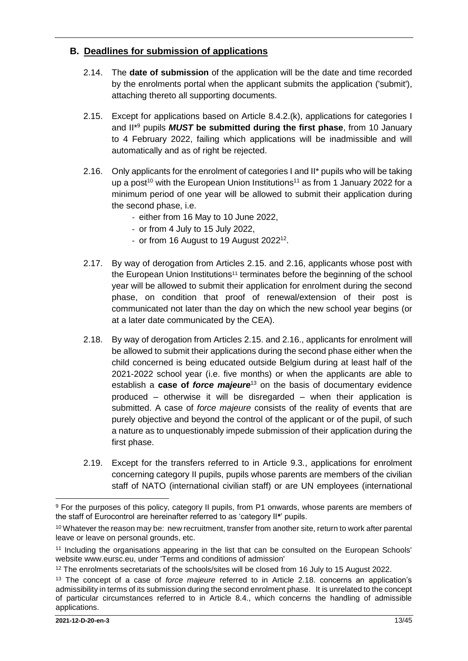### <span id="page-12-0"></span>**B. Deadlines for submission of applications**

- 2.14. The **date of submission** of the application will be the date and time recorded by the enrolments portal when the applicant submits the application ('submit'), attaching thereto all supporting documents.
- 2.15. Except for applications based on Article 8.4.2.(k), applications for categories I and II\*<sup>9</sup> pupils *MUST* **be submitted during the first phase**, from 10 January to 4 February 2022, failing which applications will be inadmissible and will automatically and as of right be rejected.
- <span id="page-12-1"></span>2.16. Only applicants for the enrolment of categories I and II\* pupils who will be taking up a post<sup>10</sup> with the European Union Institutions<sup>11</sup> as from 1 January 2022 for a minimum period of one year will be allowed to submit their application during the second phase, i.e.
	- either from 16 May to 10 June 2022,
	- or from 4 July to 15 July 2022,
	- or from 16 August to 19 August 2022<sup>12</sup>.
- 2.17. By way of derogation from Articles 2.15. and 2.16, applicants whose post with the European Union Institutions[11](#page-12-1) terminates before the beginning of the school year will be allowed to submit their application for enrolment during the second phase, on condition that proof of renewal/extension of their post is communicated not later than the day on which the new school year begins (or at a later date communicated by the CEA).
- 2.18. By way of derogation from Articles 2.15. and 2.16., applicants for enrolment will be allowed to submit their applications during the second phase either when the child concerned is being educated outside Belgium during at least half of the 2021-2022 school year (i.e. five months) or when the applicants are able to establish a **case of** *force majeure*<sup>13</sup> on the basis of documentary evidence produced – otherwise it will be disregarded – when their application is submitted. A case of *force majeure* consists of the reality of events that are purely objective and beyond the control of the applicant or of the pupil, of such a nature as to unquestionably impede submission of their application during the first phase.
- 2.19. Except for the transfers referred to in Article 9.3., applications for enrolment concerning category II pupils, pupils whose parents are members of the civilian staff of NATO (international civilian staff) or are UN employees (international

 $\overline{a}$ 

<sup>&</sup>lt;sup>9</sup> For the purposes of this policy, category II pupils, from P1 onwards, whose parents are members of the staff of Eurocontrol are hereinafter referred to as 'category II**\***' pupils.

<sup>&</sup>lt;sup>10</sup> Whatever the reason may be: new recruitment, transfer from another site, return to work after parental leave or leave on personal grounds, etc.

<sup>11</sup> Including the organisations appearing in the list that can be consulted on the European Schools' website www.eursc.eu, under 'Terms and conditions of admission'

<sup>&</sup>lt;sup>12</sup> The enrolments secretariats of the schools/sites will be closed from 16 July to 15 August 2022.

<sup>13</sup> The concept of a case of *force majeure* referred to in Article 2.18. concerns an application's admissibility in terms of its submission during the second enrolment phase. It is unrelated to the concept of particular circumstances referred to in Article 8.4., which concerns the handling of admissible applications.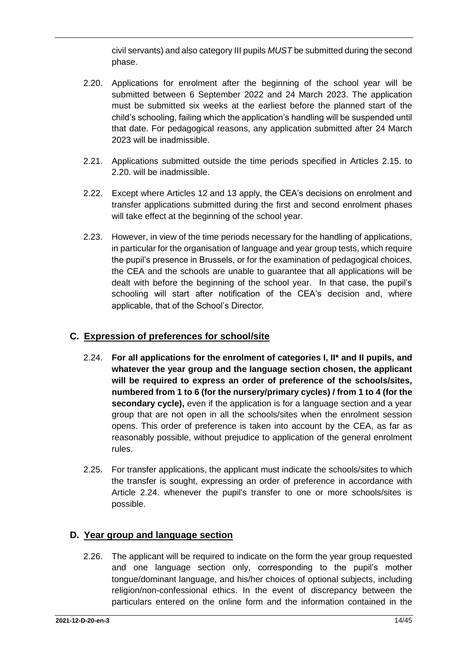civil servants) and also category III pupils *MUST* be submitted during the second phase.

- 2.20. Applications for enrolment after the beginning of the school year will be submitted between 6 September 2022 and 24 March 2023. The application must be submitted six weeks at the earliest before the planned start of the child's schooling, failing which the application's handling will be suspended until that date. For pedagogical reasons, any application submitted after 24 March 2023 will be inadmissible.
- 2.21. Applications submitted outside the time periods specified in Articles 2.15. to 2.20. will be inadmissible.
- 2.22. Except where Articles 12 and 13 apply, the CEA's decisions on enrolment and transfer applications submitted during the first and second enrolment phases will take effect at the beginning of the school year.
- 2.23. However, in view of the time periods necessary for the handling of applications, in particular for the organisation of language and year group tests, which require the pupil's presence in Brussels, or for the examination of pedagogical choices, the CEA and the schools are unable to guarantee that all applications will be dealt with before the beginning of the school year. In that case, the pupil's schooling will start after notification of the CEA's decision and, where applicable, that of the School's Director.

## <span id="page-13-0"></span>**C. Expression of preferences for school/site**

- 2.24. **For all applications for the enrolment of categories I, II\* and II pupils, and whatever the year group and the language section chosen, the applicant will be required to express an order of preference of the schools/sites, numbered from 1 to 6 (for the nursery/primary cycles) / from 1 to 4 (for the secondary cycle),** even if the application is for a language section and a year group that are not open in all the schools/sites when the enrolment session opens. This order of preference is taken into account by the CEA, as far as reasonably possible, without prejudice to application of the general enrolment rules.
- 2.25. For transfer applications, the applicant must indicate the schools/sites to which the transfer is sought, expressing an order of preference in accordance with Article 2.24. whenever the pupil's transfer to one or more schools/sites is possible.

## <span id="page-13-1"></span>**D. Year group and language section**

2.26. The applicant will be required to indicate on the form the year group requested and one language section only, corresponding to the pupil's mother tongue/dominant language, and his/her choices of optional subjects, including religion/non-confessional ethics. In the event of discrepancy between the particulars entered on the online form and the information contained in the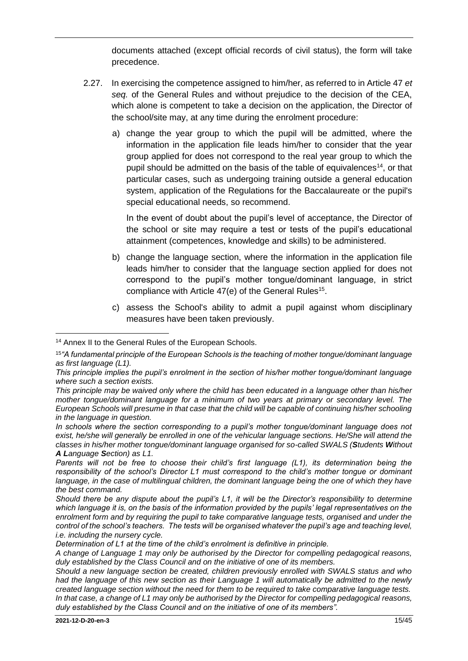documents attached (except official records of civil status), the form will take precedence.

- 2.27. In exercising the competence assigned to him/her, as referred to in Article 47 *et seq.* of the General Rules and without prejudice to the decision of the CEA, which alone is competent to take a decision on the application, the Director of the school/site may, at any time during the enrolment procedure:
	- a) change the year group to which the pupil will be admitted, where the information in the application file leads him/her to consider that the year group applied for does not correspond to the real year group to which the pupil should be admitted on the basis of the table of equivalences<sup>14</sup>, or that particular cases, such as undergoing training outside a general education system, application of the Regulations for the Baccalaureate or the pupil's special educational needs, so recommend.

In the event of doubt about the pupil's level of acceptance, the Director of the school or site may require a test or tests of the pupil's educational attainment (competences, knowledge and skills) to be administered.

- b) change the language section, where the information in the application file leads him/her to consider that the language section applied for does not correspond to the pupil's mother tongue/dominant language, in strict compliance with Article 47(e) of the General Rules<sup>15</sup>.
- c) assess the School's ability to admit a pupil against whom disciplinary measures have been taken previously.

**<sup>.</sup>** <sup>14</sup> Annex II to the General Rules of the European Schools.

<sup>15</sup>*"A fundamental principle of the European Schools is the teaching of mother tongue/dominant language as first language (L1).*

*This principle implies the pupil's enrolment in the section of his/her mother tongue/dominant language where such a section exists.*

*This principle may be waived only where the child has been educated in a language other than his/her mother tongue/dominant language for a minimum of two years at primary or secondary level. The European Schools will presume in that case that the child will be capable of continuing his/her schooling in the language in question.*

*In schools where the section corresponding to a pupil's mother tongue/dominant language does not exist, he/she will generally be enrolled in one of the vehicular language sections. He/She will attend the classes in his/her mother tongue/dominant language organised for so-called SWALS (Students Without A Language Section) as L1.*

*Parents will not be free to choose their child's first language (L1), its determination being the responsibility of the school's Director L1 must correspond to the child's mother tongue or dominant language, in the case of multilingual children, the dominant language being the one of which they have the best command.*

*Should there be any dispute about the pupil's L1, it will be the Director's responsibility to determine which language it is, on the basis of the information provided by the pupils' legal representatives on the enrolment form and by requiring the pupil to take comparative language tests, organised and under the control of the school's teachers. The tests will be organised whatever the pupil's age and teaching level, i.e. including the nursery cycle.*

*Determination of L1 at the time of the child's enrolment is definitive in principle.* 

*A change of Language 1 may only be authorised by the Director for compelling pedagogical reasons, duly established by the Class Council and on the initiative of one of its members.*

*Should a new language section be created, children previously enrolled with SWALS status and who had the language of this new section as their Language 1 will automatically be admitted to the newly created language section without the need for them to be required to take comparative language tests. In that case, a change of L1 may only be authorised by the Director for compelling pedagogical reasons, duly established by the Class Council and on the initiative of one of its members".*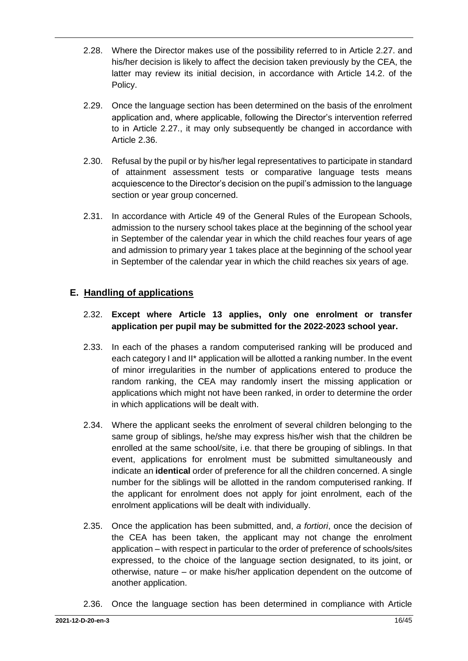- 2.28. Where the Director makes use of the possibility referred to in Article 2.27. and his/her decision is likely to affect the decision taken previously by the CEA, the latter may review its initial decision, in accordance with Article 14.2. of the Policy.
- 2.29. Once the language section has been determined on the basis of the enrolment application and, where applicable, following the Director's intervention referred to in Article 2.27., it may only subsequently be changed in accordance with Article 2.36.
- 2.30. Refusal by the pupil or by his/her legal representatives to participate in standard of attainment assessment tests or comparative language tests means acquiescence to the Director's decision on the pupil's admission to the language section or year group concerned.
- 2.31. In accordance with Article 49 of the General Rules of the European Schools, admission to the nursery school takes place at the beginning of the school year in September of the calendar year in which the child reaches four years of age and admission to primary year 1 takes place at the beginning of the school year in September of the calendar year in which the child reaches six years of age.

### <span id="page-15-0"></span>**E. Handling of applications**

#### 2.32. **Except where Article 13 applies, only one enrolment or transfer application per pupil may be submitted for the 2022-2023 school year.**

- 2.33. In each of the phases a random computerised ranking will be produced and each category I and II\* application will be allotted a ranking number. In the event of minor irregularities in the number of applications entered to produce the random ranking, the CEA may randomly insert the missing application or applications which might not have been ranked, in order to determine the order in which applications will be dealt with.
- 2.34. Where the applicant seeks the enrolment of several children belonging to the same group of siblings, he/she may express his/her wish that the children be enrolled at the same school/site, i.e. that there be grouping of siblings. In that event, applications for enrolment must be submitted simultaneously and indicate an **identical** order of preference for all the children concerned. A single number for the siblings will be allotted in the random computerised ranking. If the applicant for enrolment does not apply for joint enrolment, each of the enrolment applications will be dealt with individually.
- 2.35. Once the application has been submitted, and, *a fortiori*, once the decision of the CEA has been taken, the applicant may not change the enrolment application – with respect in particular to the order of preference of schools/sites expressed, to the choice of the language section designated, to its joint, or otherwise, nature – or make his/her application dependent on the outcome of another application.
- 2.36. Once the language section has been determined in compliance with Article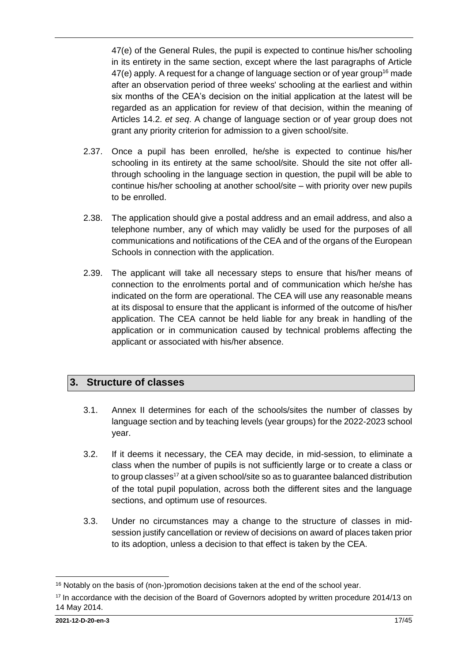47(e) of the General Rules, the pupil is expected to continue his/her schooling in its entirety in the same section, except where the last paragraphs of Article  $47(e)$  apply. A request for a change of language section or of year group<sup>16</sup> made after an observation period of three weeks' schooling at the earliest and within six months of the CEA's decision on the initial application at the latest will be regarded as an application for review of that decision, within the meaning of Articles 14.2. *et seq*. A change of language section or of year group does not grant any priority criterion for admission to a given school/site.

- 2.37. Once a pupil has been enrolled, he/she is expected to continue his/her schooling in its entirety at the same school/site. Should the site not offer allthrough schooling in the language section in question, the pupil will be able to continue his/her schooling at another school/site – with priority over new pupils to be enrolled.
- 2.38. The application should give a postal address and an email address, and also a telephone number, any of which may validly be used for the purposes of all communications and notifications of the CEA and of the organs of the European Schools in connection with the application.
- 2.39. The applicant will take all necessary steps to ensure that his/her means of connection to the enrolments portal and of communication which he/she has indicated on the form are operational. The CEA will use any reasonable means at its disposal to ensure that the applicant is informed of the outcome of his/her application. The CEA cannot be held liable for any break in handling of the application or in communication caused by technical problems affecting the applicant or associated with his/her absence.

# <span id="page-16-0"></span>**3. Structure of classes**

- 3.1. Annex II determines for each of the schools/sites the number of classes by language section and by teaching levels (year groups) for the 2022-2023 school year.
- 3.2. If it deems it necessary, the CEA may decide, in mid-session, to eliminate a class when the number of pupils is not sufficiently large or to create a class or to group classes<sup>17</sup> at a given school/site so as to guarantee balanced distribution of the total pupil population, across both the different sites and the language sections, and optimum use of resources.
- 3.3. Under no circumstances may a change to the structure of classes in midsession justify cancellation or review of decisions on award of places taken prior to its adoption, unless a decision to that effect is taken by the CEA.

<sup>1</sup> <sup>16</sup> Notably on the basis of (non-)promotion decisions taken at the end of the school year.

 $17$  In accordance with the decision of the Board of Governors adopted by written procedure 2014/13 on 14 May 2014.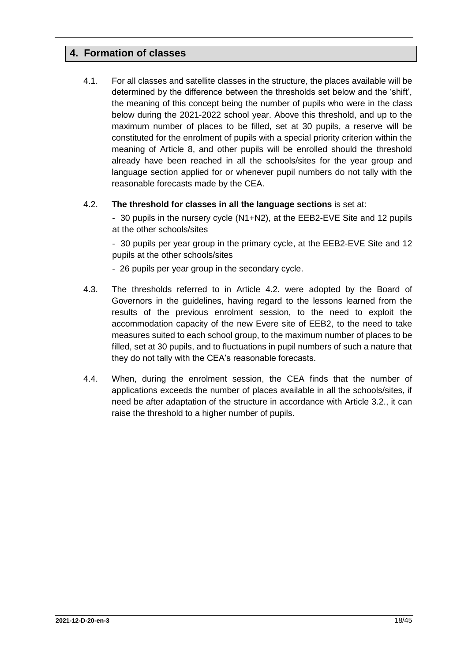# <span id="page-17-0"></span>**4. Formation of classes**

4.1. For all classes and satellite classes in the structure, the places available will be determined by the difference between the thresholds set below and the 'shift', the meaning of this concept being the number of pupils who were in the class below during the 2021-2022 school year. Above this threshold, and up to the maximum number of places to be filled, set at 30 pupils, a reserve will be constituted for the enrolment of pupils with a special priority criterion within the meaning of Article 8, and other pupils will be enrolled should the threshold already have been reached in all the schools/sites for the year group and language section applied for or whenever pupil numbers do not tally with the reasonable forecasts made by the CEA.

#### 4.2. **The threshold for classes in all the language sections** is set at:

- 30 pupils in the nursery cycle (N1+N2), at the EEB2-EVE Site and 12 pupils at the other schools/sites

- 30 pupils per year group in the primary cycle, at the EEB2-EVE Site and 12 pupils at the other schools/sites

- 26 pupils per year group in the secondary cycle.
- 4.3. The thresholds referred to in Article 4.2. were adopted by the Board of Governors in the guidelines, having regard to the lessons learned from the results of the previous enrolment session, to the need to exploit the accommodation capacity of the new Evere site of EEB2, to the need to take measures suited to each school group, to the maximum number of places to be filled, set at 30 pupils, and to fluctuations in pupil numbers of such a nature that they do not tally with the CEA's reasonable forecasts.
- 4.4. When, during the enrolment session, the CEA finds that the number of applications exceeds the number of places available in all the schools/sites, if need be after adaptation of the structure in accordance with Article 3.2., it can raise the threshold to a higher number of pupils.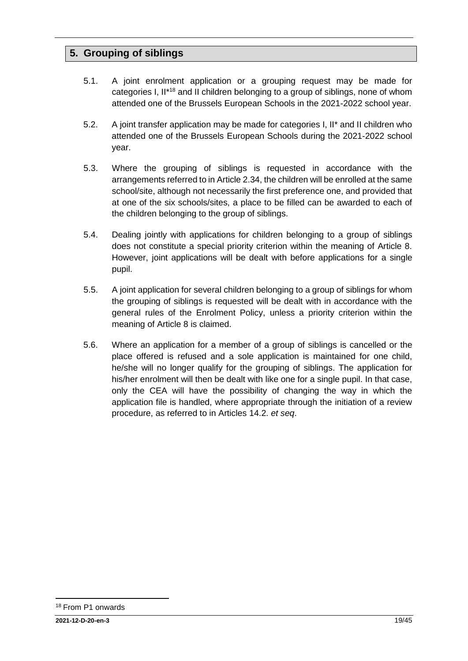# <span id="page-18-0"></span>**5. Grouping of siblings**

- 5.1. A joint enrolment application or a grouping request may be made for categories I, II\*<sup>18</sup> and II children belonging to a group of siblings, none of whom attended one of the Brussels European Schools in the 2021-2022 school year.
- 5.2. A joint transfer application may be made for categories I, II\* and II children who attended one of the Brussels European Schools during the 2021-2022 school year.
- 5.3. Where the grouping of siblings is requested in accordance with the arrangements referred to in Article 2.34, the children will be enrolled at the same school/site, although not necessarily the first preference one, and provided that at one of the six schools/sites, a place to be filled can be awarded to each of the children belonging to the group of siblings.
- 5.4. Dealing jointly with applications for children belonging to a group of siblings does not constitute a special priority criterion within the meaning of Article 8. However, joint applications will be dealt with before applications for a single pupil.
- 5.5. A joint application for several children belonging to a group of siblings for whom the grouping of siblings is requested will be dealt with in accordance with the general rules of the Enrolment Policy, unless a priority criterion within the meaning of Article 8 is claimed.
- 5.6. Where an application for a member of a group of siblings is cancelled or the place offered is refused and a sole application is maintained for one child, he/she will no longer qualify for the grouping of siblings. The application for his/her enrolment will then be dealt with like one for a single pupil. In that case, only the CEA will have the possibility of changing the way in which the application file is handled, where appropriate through the initiation of a review procedure, as referred to in Articles 14.2. *et seq*.

1

<sup>18</sup> From P1 onwards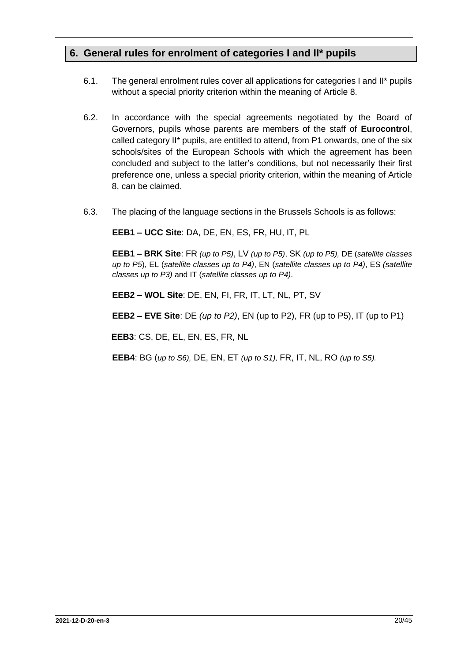# <span id="page-19-0"></span>**6. General rules for enrolment of categories I and II\* pupils**

- 6.1. The general enrolment rules cover all applications for categories I and II\* pupils without a special priority criterion within the meaning of Article 8.
- 6.2. In accordance with the special agreements negotiated by the Board of Governors, pupils whose parents are members of the staff of **Eurocontrol**, called category II\* pupils, are entitled to attend, from P1 onwards, one of the six schools/sites of the European Schools with which the agreement has been concluded and subject to the latter's conditions, but not necessarily their first preference one, unless a special priority criterion, within the meaning of Article 8, can be claimed.
- 6.3. The placing of the language sections in the Brussels Schools is as follows:

**EEB1 – UCC Site**: DA, DE, EN, ES, FR, HU, IT, PL

**EEB1 – BRK Site**: FR *(up to P5)*, LV *(up to P5)*, SK *(up to P5),* DE (*satellite classes up to P5*), EL (*satellite classes up to P4)*, EN (*satellite classes up to P4)*, ES *(satellite classes up to P3)* and IT (*satellite classes up to P4)*.

**EEB2 – WOL Site**: DE, EN, FI, FR, IT, LT, NL, PT, SV

**EEB2 – EVE Site**: DE *(up to P2)*, EN (up to P2), FR (up to P5), IT (up to P1)

**EEB3**: CS, DE, EL, EN, ES, FR, NL

**EEB4**: BG (*up to S6),* DE, EN, ET *(up to S1),* FR, IT, NL, RO *(up to S5).*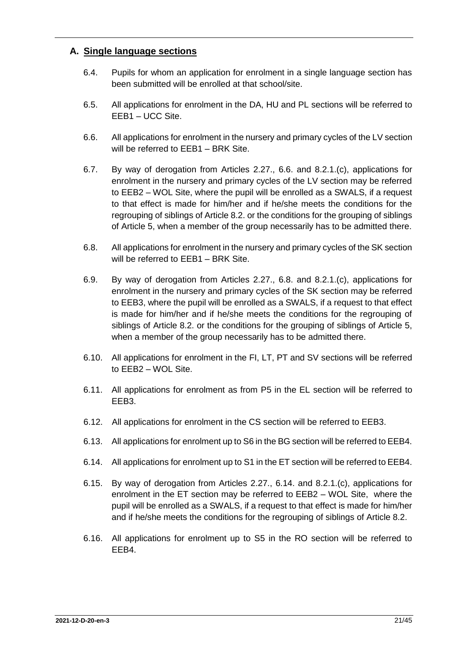### <span id="page-20-0"></span>**A. Single language sections**

- 6.4. Pupils for whom an application for enrolment in a single language section has been submitted will be enrolled at that school/site.
- 6.5. All applications for enrolment in the DA, HU and PL sections will be referred to EEB1 – UCC Site.
- 6.6. All applications for enrolment in the nursery and primary cycles of the LV section will be referred to EEB1 – BRK Site.
- 6.7. By way of derogation from Articles 2.27., 6.6. and 8.2.1.(c), applications for enrolment in the nursery and primary cycles of the LV section may be referred to EEB2 – WOL Site, where the pupil will be enrolled as a SWALS, if a request to that effect is made for him/her and if he/she meets the conditions for the regrouping of siblings of Article 8.2. or the conditions for the grouping of siblings of Article 5, when a member of the group necessarily has to be admitted there.
- 6.8. All applications for enrolment in the nursery and primary cycles of the SK section will be referred to EEB1 – BRK Site.
- 6.9. By way of derogation from Articles 2.27., 6.8. and 8.2.1.(c), applications for enrolment in the nursery and primary cycles of the SK section may be referred to EEB3, where the pupil will be enrolled as a SWALS, if a request to that effect is made for him/her and if he/she meets the conditions for the regrouping of siblings of Article 8.2. or the conditions for the grouping of siblings of Article 5, when a member of the group necessarily has to be admitted there.
- 6.10. All applications for enrolment in the FI, LT, PT and SV sections will be referred to EEB2 – WOL Site.
- 6.11. All applications for enrolment as from P5 in the EL section will be referred to EEB3.
- 6.12. All applications for enrolment in the CS section will be referred to EEB3.
- 6.13. All applications for enrolment up to S6 in the BG section will be referred to EEB4.
- 6.14. All applications for enrolment up to S1 in the ET section will be referred to EEB4.
- 6.15. By way of derogation from Articles 2.27., 6.14. and 8.2.1.(c), applications for enrolment in the ET section may be referred to EEB2 – WOL Site, where the pupil will be enrolled as a SWALS, if a request to that effect is made for him/her and if he/she meets the conditions for the regrouping of siblings of Article 8.2.
- 6.16. All applications for enrolment up to S5 in the RO section will be referred to EEB4.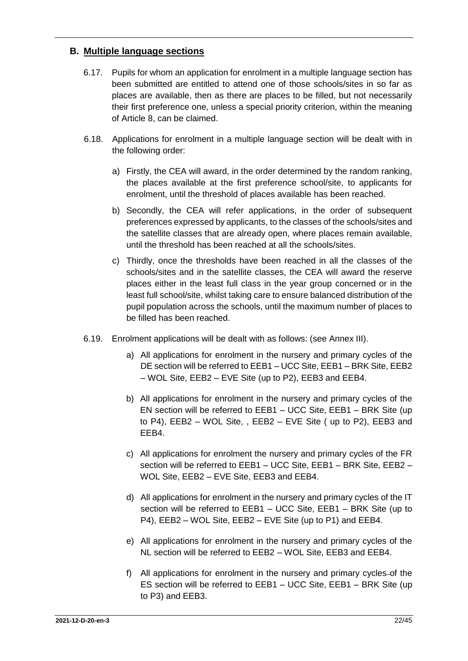#### <span id="page-21-0"></span>**B. Multiple language sections**

- 6.17. Pupils for whom an application for enrolment in a multiple language section has been submitted are entitled to attend one of those schools/sites in so far as places are available, then as there are places to be filled, but not necessarily their first preference one, unless a special priority criterion, within the meaning of Article 8, can be claimed.
- 6.18. Applications for enrolment in a multiple language section will be dealt with in the following order:
	- a) Firstly, the CEA will award, in the order determined by the random ranking, the places available at the first preference school/site, to applicants for enrolment, until the threshold of places available has been reached.
	- b) Secondly, the CEA will refer applications, in the order of subsequent preferences expressed by applicants, to the classes of the schools/sites and the satellite classes that are already open, where places remain available, until the threshold has been reached at all the schools/sites.
	- c) Thirdly, once the thresholds have been reached in all the classes of the schools/sites and in the satellite classes, the CEA will award the reserve places either in the least full class in the year group concerned or in the least full school/site, whilst taking care to ensure balanced distribution of the pupil population across the schools, until the maximum number of places to be filled has been reached.
- 6.19. Enrolment applications will be dealt with as follows: (see Annex III).
	- a) All applications for enrolment in the nursery and primary cycles of the DE section will be referred to EEB1 – UCC Site, EEB1 – BRK Site, EEB2 – WOL Site, EEB2 – EVE Site (up to P2), EEB3 and EEB4.
	- b) All applications for enrolment in the nursery and primary cycles of the EN section will be referred to EEB1 – UCC Site, EEB1 – BRK Site (up to P4), EEB2 – WOL Site, , EEB2 – EVE Site ( up to P2), EEB3 and EEB4.
	- c) All applications for enrolment the nursery and primary cycles of the FR section will be referred to EEB1 – UCC Site, EEB1 – BRK Site, EEB2 – WOL Site, EEB2 – EVE Site, EEB3 and EEB4.
	- d) All applications for enrolment in the nursery and primary cycles of the IT section will be referred to EEB1 – UCC Site, EEB1 – BRK Site (up to P4), EEB2 – WOL Site, EEB2 – EVE Site (up to P1) and EEB4.
	- e) All applications for enrolment in the nursery and primary cycles of the NL section will be referred to EEB2 – WOL Site, EEB3 and EEB4.
	- f) All applications for enrolment in the nursery and primary cycles of the ES section will be referred to EEB1 – UCC Site, EEB1 – BRK Site (up to P3) and EEB3.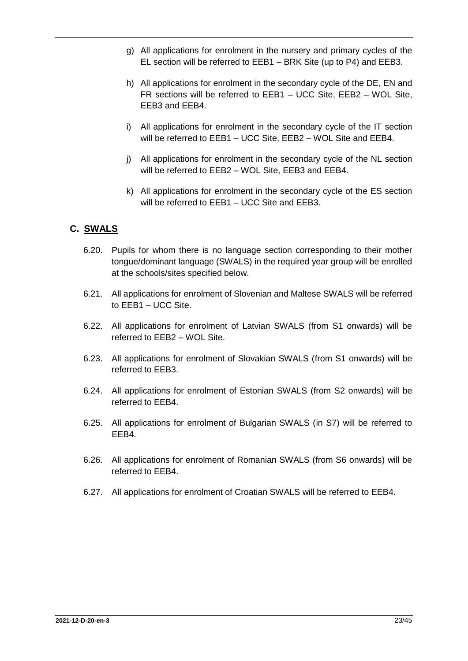- g) All applications for enrolment in the nursery and primary cycles of the EL section will be referred to EEB1 – BRK Site (up to P4) and EEB3.
- h) All applications for enrolment in the secondary cycle of the DE, EN and FR sections will be referred to EEB1 – UCC Site, EEB2 – WOL Site, EEB3 and EEB4.
- i) All applications for enrolment in the secondary cycle of the IT section will be referred to EEB1 – UCC Site, EEB2 – WOL Site and EEB4.
- j) All applications for enrolment in the secondary cycle of the NL section will be referred to EEB2 – WOL Site, EEB3 and EEB4.
- k) All applications for enrolment in the secondary cycle of the ES section will be referred to EEB1 – UCC Site and EEB3.

## <span id="page-22-0"></span>**C. SWALS**

- 6.20. Pupils for whom there is no language section corresponding to their mother tongue/dominant language (SWALS) in the required year group will be enrolled at the schools/sites specified below.
- 6.21. All applications for enrolment of Slovenian and Maltese SWALS will be referred to EEB1 – UCC Site.
- 6.22. All applications for enrolment of Latvian SWALS (from S1 onwards) will be referred to EEB2 – WOL Site.
- 6.23. All applications for enrolment of Slovakian SWALS (from S1 onwards) will be referred to EEB3.
- 6.24. All applications for enrolment of Estonian SWALS (from S2 onwards) will be referred to EEB4.
- 6.25. All applications for enrolment of Bulgarian SWALS (in S7) will be referred to EEB4.
- 6.26. All applications for enrolment of Romanian SWALS (from S6 onwards) will be referred to EEB4.
- 6.27. All applications for enrolment of Croatian SWALS will be referred to EEB4.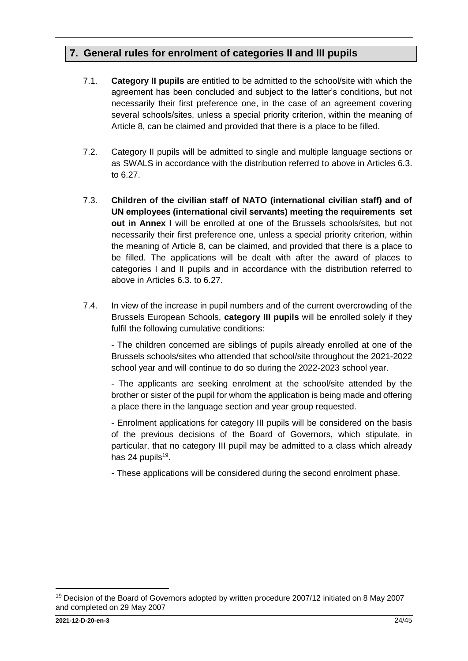# <span id="page-23-0"></span>**7. General rules for enrolment of categories II and III pupils**

- 7.1. **Category II pupils** are entitled to be admitted to the school/site with which the agreement has been concluded and subject to the latter's conditions, but not necessarily their first preference one, in the case of an agreement covering several schools/sites, unless a special priority criterion, within the meaning of Article 8, can be claimed and provided that there is a place to be filled.
- 7.2. Category II pupils will be admitted to single and multiple language sections or as SWALS in accordance with the distribution referred to above in Articles 6.3. to 6.27.
- 7.3. **Children of the civilian staff of NATO (international civilian staff) and of UN employees (international civil servants) meeting the requirements set out in Annex I** will be enrolled at one of the Brussels schools/sites, but not necessarily their first preference one, unless a special priority criterion, within the meaning of Article 8, can be claimed, and provided that there is a place to be filled. The applications will be dealt with after the award of places to categories I and II pupils and in accordance with the distribution referred to above in Articles 6.3. to 6.27.
- 7.4. In view of the increase in pupil numbers and of the current overcrowding of the Brussels European Schools, **category III pupils** will be enrolled solely if they fulfil the following cumulative conditions:

- The children concerned are siblings of pupils already enrolled at one of the Brussels schools/sites who attended that school/site throughout the 2021-2022 school year and will continue to do so during the 2022-2023 school year.

- The applicants are seeking enrolment at the school/site attended by the brother or sister of the pupil for whom the application is being made and offering a place there in the language section and year group requested.

- Enrolment applications for category III pupils will be considered on the basis of the previous decisions of the Board of Governors, which stipulate, in particular, that no category III pupil may be admitted to a class which already has 24 pupils<sup>19</sup>.

- These applications will be considered during the second enrolment phase.

1

<sup>&</sup>lt;sup>19</sup> Decision of the Board of Governors adopted by written procedure 2007/12 initiated on 8 May 2007 and completed on 29 May 2007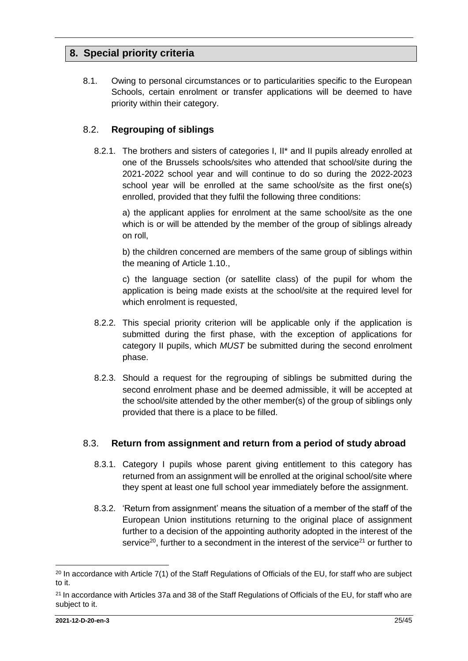# <span id="page-24-0"></span>**8. Special priority criteria**

8.1. Owing to personal circumstances or to particularities specific to the European Schools, certain enrolment or transfer applications will be deemed to have priority within their category.

### <span id="page-24-1"></span>8.2. **Regrouping of siblings**

8.2.1. The brothers and sisters of categories I, II\* and II pupils already enrolled at one of the Brussels schools/sites who attended that school/site during the 2021-2022 school year and will continue to do so during the 2022-2023 school year will be enrolled at the same school/site as the first one(s) enrolled, provided that they fulfil the following three conditions:

a) the applicant applies for enrolment at the same school/site as the one which is or will be attended by the member of the group of siblings already on roll,

b) the children concerned are members of the same group of siblings within the meaning of Article 1.10.,

c) the language section (or satellite class) of the pupil for whom the application is being made exists at the school/site at the required level for which enrolment is requested,

- 8.2.2. This special priority criterion will be applicable only if the application is submitted during the first phase, with the exception of applications for category II pupils, which *MUST* be submitted during the second enrolment phase.
- 8.2.3. Should a request for the regrouping of siblings be submitted during the second enrolment phase and be deemed admissible, it will be accepted at the school/site attended by the other member(s) of the group of siblings only provided that there is a place to be filled.

#### <span id="page-24-2"></span>8.3. **Return from assignment and return from a period of study abroad**

- 8.3.1. Category I pupils whose parent giving entitlement to this category has returned from an assignment will be enrolled at the original school/site where they spent at least one full school year immediately before the assignment.
- 8.3.2. 'Return from assignment' means the situation of a member of the staff of the European Union institutions returning to the original place of assignment further to a decision of the appointing authority adopted in the interest of the service<sup>20</sup>, further to a secondment in the interest of the service<sup>21</sup> or further to

<sup>&</sup>lt;sup>20</sup> In accordance with Article 7(1) of the Staff Regulations of Officials of the EU, for staff who are subject to it.

<sup>&</sup>lt;sup>21</sup> In accordance with Articles 37a and 38 of the Staff Regulations of Officials of the EU, for staff who are subject to it.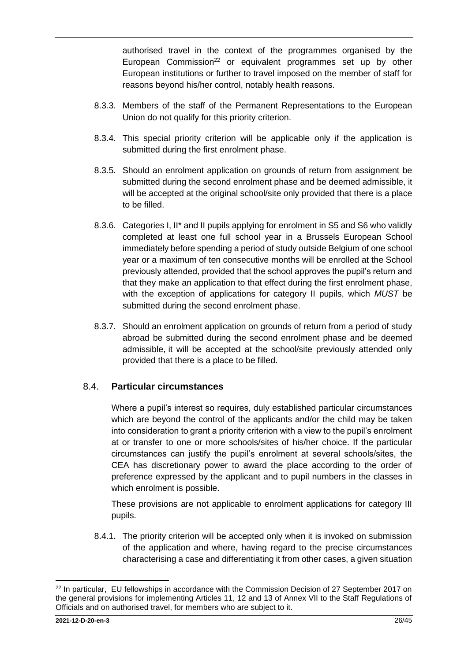authorised travel in the context of the programmes organised by the European Commission<sup>22</sup> or equivalent programmes set up by other European institutions or further to travel imposed on the member of staff for reasons beyond his/her control, notably health reasons.

- 8.3.3. Members of the staff of the Permanent Representations to the European Union do not qualify for this priority criterion.
- 8.3.4. This special priority criterion will be applicable only if the application is submitted during the first enrolment phase.
- 8.3.5. Should an enrolment application on grounds of return from assignment be submitted during the second enrolment phase and be deemed admissible, it will be accepted at the original school/site only provided that there is a place to be filled.
- 8.3.6. Categories I, II\* and II pupils applying for enrolment in S5 and S6 who validly completed at least one full school year in a Brussels European School immediately before spending a period of study outside Belgium of one school year or a maximum of ten consecutive months will be enrolled at the School previously attended, provided that the school approves the pupil's return and that they make an application to that effect during the first enrolment phase, with the exception of applications for category II pupils, which *MUST* be submitted during the second enrolment phase.
- 8.3.7. Should an enrolment application on grounds of return from a period of study abroad be submitted during the second enrolment phase and be deemed admissible, it will be accepted at the school/site previously attended only provided that there is a place to be filled.

## <span id="page-25-0"></span>8.4. **Particular circumstances**

Where a pupil's interest so requires, duly established particular circumstances which are beyond the control of the applicants and/or the child may be taken into consideration to grant a priority criterion with a view to the pupil's enrolment at or transfer to one or more schools/sites of his/her choice. If the particular circumstances can justify the pupil's enrolment at several schools/sites, the CEA has discretionary power to award the place according to the order of preference expressed by the applicant and to pupil numbers in the classes in which enrolment is possible.

These provisions are not applicable to enrolment applications for category III pupils.

8.4.1. The priority criterion will be accepted only when it is invoked on submission of the application and where, having regard to the precise circumstances characterising a case and differentiating it from other cases, a given situation

<sup>&</sup>lt;sup>22</sup> In particular, EU fellowships in accordance with the Commission Decision of 27 September 2017 on the general provisions for implementing Articles 11, 12 and 13 of Annex VII to the Staff Regulations of Officials and on authorised travel, for members who are subject to it.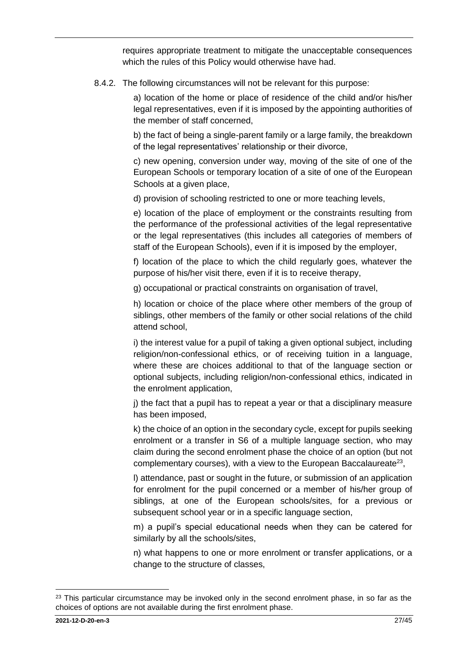requires appropriate treatment to mitigate the unacceptable consequences which the rules of this Policy would otherwise have had.

8.4.2. The following circumstances will not be relevant for this purpose:

a) location of the home or place of residence of the child and/or his/her legal representatives, even if it is imposed by the appointing authorities of the member of staff concerned,

b) the fact of being a single-parent family or a large family, the breakdown of the legal representatives' relationship or their divorce,

c) new opening, conversion under way, moving of the site of one of the European Schools or temporary location of a site of one of the European Schools at a given place,

d) provision of schooling restricted to one or more teaching levels,

e) location of the place of employment or the constraints resulting from the performance of the professional activities of the legal representative or the legal representatives (this includes all categories of members of staff of the European Schools), even if it is imposed by the employer,

f) location of the place to which the child regularly goes, whatever the purpose of his/her visit there, even if it is to receive therapy,

g) occupational or practical constraints on organisation of travel,

h) location or choice of the place where other members of the group of siblings, other members of the family or other social relations of the child attend school,

i) the interest value for a pupil of taking a given optional subject, including religion/non-confessional ethics, or of receiving tuition in a language, where these are choices additional to that of the language section or optional subjects, including religion/non-confessional ethics, indicated in the enrolment application,

j) the fact that a pupil has to repeat a year or that a disciplinary measure has been imposed,

k) the choice of an option in the secondary cycle, except for pupils seeking enrolment or a transfer in S6 of a multiple language section, who may claim during the second enrolment phase the choice of an option (but not complementary courses), with a view to the European Baccalaureate<sup>23</sup>,

l) attendance, past or sought in the future, or submission of an application for enrolment for the pupil concerned or a member of his/her group of siblings, at one of the European schools/sites, for a previous or subsequent school year or in a specific language section,

m) a pupil's special educational needs when they can be catered for similarly by all the schools/sites,

n) what happens to one or more enrolment or transfer applications, or a change to the structure of classes,

 $\overline{a}$ 

<sup>&</sup>lt;sup>23</sup> This particular circumstance may be invoked only in the second enrolment phase, in so far as the choices of options are not available during the first enrolment phase.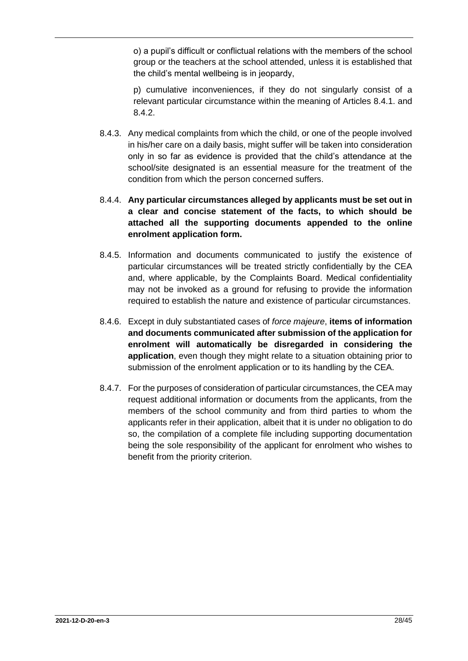o) a pupil's difficult or conflictual relations with the members of the school group or the teachers at the school attended, unless it is established that the child's mental wellbeing is in jeopardy,

p) cumulative inconveniences, if they do not singularly consist of a relevant particular circumstance within the meaning of Articles 8.4.1. and 8.4.2.

- 8.4.3. Any medical complaints from which the child, or one of the people involved in his/her care on a daily basis, might suffer will be taken into consideration only in so far as evidence is provided that the child's attendance at the school/site designated is an essential measure for the treatment of the condition from which the person concerned suffers.
- 8.4.4. **Any particular circumstances alleged by applicants must be set out in a clear and concise statement of the facts, to which should be attached all the supporting documents appended to the online enrolment application form.**
- 8.4.5. Information and documents communicated to justify the existence of particular circumstances will be treated strictly confidentially by the CEA and, where applicable, by the Complaints Board. Medical confidentiality may not be invoked as a ground for refusing to provide the information required to establish the nature and existence of particular circumstances.
- 8.4.6. Except in duly substantiated cases of *force majeure*, **items of information and documents communicated after submission of the application for enrolment will automatically be disregarded in considering the application**, even though they might relate to a situation obtaining prior to submission of the enrolment application or to its handling by the CEA.
- 8.4.7. For the purposes of consideration of particular circumstances, the CEA may request additional information or documents from the applicants, from the members of the school community and from third parties to whom the applicants refer in their application, albeit that it is under no obligation to do so, the compilation of a complete file including supporting documentation being the sole responsibility of the applicant for enrolment who wishes to benefit from the priority criterion.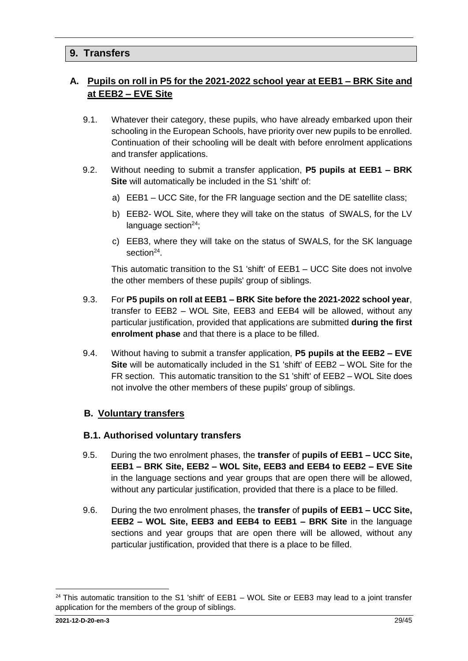# <span id="page-28-0"></span>**9. Transfers**

# <span id="page-28-1"></span>**A. Pupils on roll in P5 for the 2021-2022 school year at EEB1 – BRK Site and at EEB2 – EVE Site**

- 9.1. Whatever their category, these pupils, who have already embarked upon their schooling in the European Schools, have priority over new pupils to be enrolled. Continuation of their schooling will be dealt with before enrolment applications and transfer applications.
- 9.2. Without needing to submit a transfer application, **P5 pupils at EEB1 – BRK Site** will automatically be included in the S1 'shift' of:
	- a) EEB1 UCC Site, for the FR language section and the DE satellite class;
	- b) EEB2- WOL Site, where they will take on the status of SWALS, for the LV language section $24$ ;
	- c) EEB3, where they will take on the status of SWALS, for the SK language section<sup>[24](#page-28-3)</sup>.

<span id="page-28-3"></span>This automatic transition to the S1 'shift' of EEB1 – UCC Site does not involve the other members of these pupils' group of siblings.

- 9.3. For **P5 pupils on roll at EEB1 – BRK Site before the 2021-2022 school year**, transfer to EEB2 – WOL Site, EEB3 and EEB4 will be allowed, without any particular justification, provided that applications are submitted **during the first enrolment phase** and that there is a place to be filled.
- 9.4. Without having to submit a transfer application, **P5 pupils at the EEB2 – EVE Site** will be automatically included in the S1 'shift' of EEB2 – WOL Site for the FR section. This automatic transition to the S1 'shift' of EEB2 – WOL Site does not involve the other members of these pupils' group of siblings.

#### <span id="page-28-2"></span>**B. Voluntary transfers**

#### **B.1. Authorised voluntary transfers**

- 9.5. During the two enrolment phases, the **transfer** of **pupils of EEB1 – UCC Site, EEB1 – BRK Site, EEB2 – WOL Site, EEB3 and EEB4 to EEB2 – EVE Site**  in the language sections and year groups that are open there will be allowed, without any particular justification, provided that there is a place to be filled.
- 9.6. During the two enrolment phases, the **transfer** of **pupils of EEB1 – UCC Site, EEB2 – WOL Site, EEB3 and EEB4 to EEB1 – BRK Site** in the language sections and year groups that are open there will be allowed, without any particular justification, provided that there is a place to be filled.

 $24$  This automatic transition to the S1 'shift' of EEB1 – WOL Site or EEB3 may lead to a joint transfer application for the members of the group of siblings.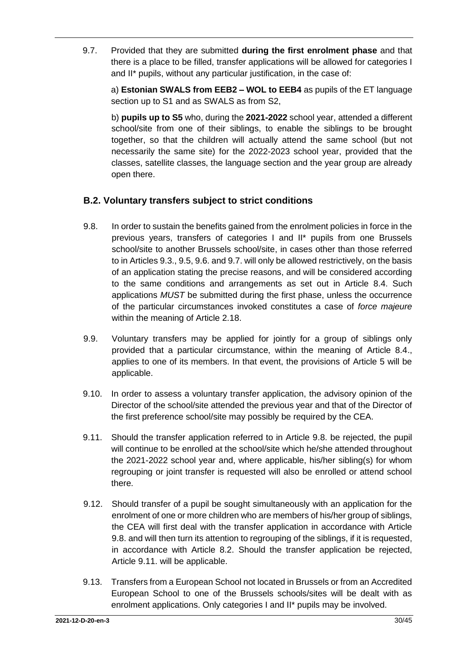9.7. Provided that they are submitted **during the first enrolment phase** and that there is a place to be filled, transfer applications will be allowed for categories I and II\* pupils, without any particular justification, in the case of:

a) **Estonian SWALS from EEB2 – WOL to EEB4** as pupils of the ET language section up to S1 and as SWALS as from S2,

b) **pupils up to S5** who, during the **2021-2022** school year, attended a different school/site from one of their siblings, to enable the siblings to be brought together, so that the children will actually attend the same school (but not necessarily the same site) for the 2022-2023 school year, provided that the classes, satellite classes, the language section and the year group are already open there.

## **B.2. Voluntary transfers subject to strict conditions**

- 9.8. In order to sustain the benefits gained from the enrolment policies in force in the previous years, transfers of categories I and II\* pupils from one Brussels school/site to another Brussels school/site, in cases other than those referred to in Articles 9.3., 9.5, 9.6. and 9.7. will only be allowed restrictively, on the basis of an application stating the precise reasons, and will be considered according to the same conditions and arrangements as set out in Article 8.4. Such applications *MUST* be submitted during the first phase, unless the occurrence of the particular circumstances invoked constitutes a case of *force majeure*  within the meaning of Article 2.18.
- 9.9. Voluntary transfers may be applied for jointly for a group of siblings only provided that a particular circumstance, within the meaning of Article 8.4., applies to one of its members. In that event, the provisions of Article 5 will be applicable.
- 9.10. In order to assess a voluntary transfer application, the advisory opinion of the Director of the school/site attended the previous year and that of the Director of the first preference school/site may possibly be required by the CEA.
- 9.11. Should the transfer application referred to in Article 9.8. be rejected, the pupil will continue to be enrolled at the school/site which he/she attended throughout the 2021-2022 school year and, where applicable, his/her sibling(s) for whom regrouping or joint transfer is requested will also be enrolled or attend school there.
- 9.12. Should transfer of a pupil be sought simultaneously with an application for the enrolment of one or more children who are members of his/her group of siblings, the CEA will first deal with the transfer application in accordance with Article 9.8. and will then turn its attention to regrouping of the siblings, if it is requested, in accordance with Article 8.2. Should the transfer application be rejected, Article 9.11. will be applicable.
- 9.13. Transfers from a European School not located in Brussels or from an Accredited European School to one of the Brussels schools/sites will be dealt with as enrolment applications. Only categories I and II\* pupils may be involved.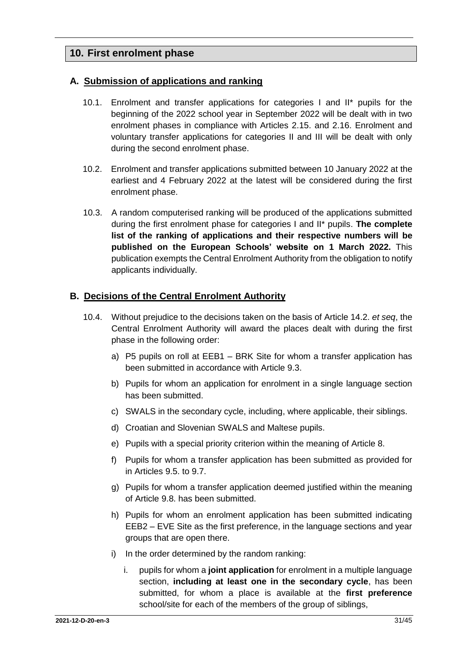# <span id="page-30-0"></span>**10. First enrolment phase**

#### <span id="page-30-1"></span>**A. Submission of applications and ranking**

- 10.1. Enrolment and transfer applications for categories I and II\* pupils for the beginning of the 2022 school year in September 2022 will be dealt with in two enrolment phases in compliance with Articles 2.15. and 2.16. Enrolment and voluntary transfer applications for categories II and III will be dealt with only during the second enrolment phase.
- 10.2. Enrolment and transfer applications submitted between 10 January 2022 at the earliest and 4 February 2022 at the latest will be considered during the first enrolment phase.
- 10.3. A random computerised ranking will be produced of the applications submitted during the first enrolment phase for categories I and II\* pupils. **The complete list of the ranking of applications and their respective numbers will be published on the European Schools' website on 1 March 2022.** This publication exempts the Central Enrolment Authority from the obligation to notify applicants individually.

#### <span id="page-30-2"></span>**B. Decisions of the Central Enrolment Authority**

- 10.4. Without prejudice to the decisions taken on the basis of Article 14.2. *et seq*, the Central Enrolment Authority will award the places dealt with during the first phase in the following order:
	- a) P5 pupils on roll at EEB1 BRK Site for whom a transfer application has been submitted in accordance with Article 9.3.
	- b) Pupils for whom an application for enrolment in a single language section has been submitted.
	- c) SWALS in the secondary cycle, including, where applicable, their siblings.
	- d) Croatian and Slovenian SWALS and Maltese pupils.
	- e) Pupils with a special priority criterion within the meaning of Article 8.
	- f) Pupils for whom a transfer application has been submitted as provided for in Articles 9.5. to 9.7.
	- g) Pupils for whom a transfer application deemed justified within the meaning of Article 9.8. has been submitted.
	- h) Pupils for whom an enrolment application has been submitted indicating EEB2 – EVE Site as the first preference, in the language sections and year groups that are open there.
	- i) In the order determined by the random ranking:
		- i. pupils for whom a **joint application** for enrolment in a multiple language section, **including at least one in the secondary cycle**, has been submitted, for whom a place is available at the **first preference** school/site for each of the members of the group of siblings,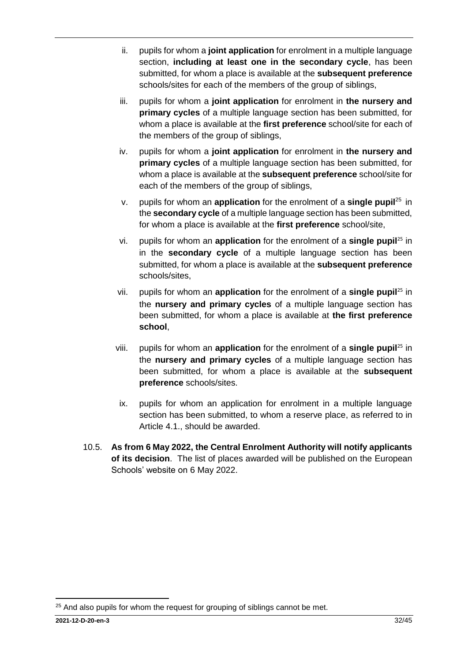- ii. pupils for whom a **joint application** for enrolment in a multiple language section, **including at least one in the secondary cycle**, has been submitted, for whom a place is available at the **subsequent preference** schools/sites for each of the members of the group of siblings,
- iii. pupils for whom a **joint application** for enrolment in **the nursery and primary cycles** of a multiple language section has been submitted, for whom a place is available at the **first preference** school/site for each of the members of the group of siblings,
- iv. pupils for whom a **joint application** for enrolment in **the nursery and primary cycles** of a multiple language section has been submitted, for whom a place is available at the **subsequent preference** school/site for each of the members of the group of siblings,
- <span id="page-31-0"></span>v. pupils for whom an **application** for the enrolment of a **single pupil**<sup>25</sup> in the **secondary cycle** of a multiple language section has been submitted, for whom a place is available at the **first preference** school/site,
- vi. pupils for whom an **application** for the enrolment of a **single pupil**[25](#page-31-0) in in the **secondary cycle** of a multiple language section has been submitted, for whom a place is available at the **subsequent preference** schools/sites,
- vii. pupils for whom an **application** for the enrolment of a **single pupil**[25](#page-31-0) in the **nursery and primary cycles** of a multiple language section has been submitted, for whom a place is available at **the first preference school**,
- viii. pupils for whom an **application** for the enrolment of a **single pupil**[25](#page-31-0) in the **nursery and primary cycles** of a multiple language section has been submitted, for whom a place is available at the **subsequent preference** schools/sites.
- ix. pupils for whom an application for enrolment in a multiple language section has been submitted, to whom a reserve place, as referred to in Article 4.1., should be awarded.
- 10.5. **As from 6 May 2022, the Central Enrolment Authority will notify applicants of its decision**. The list of places awarded will be published on the European Schools' website on 6 May 2022.

<sup>1</sup> <sup>25</sup> And also pupils for whom the request for grouping of siblings cannot be met.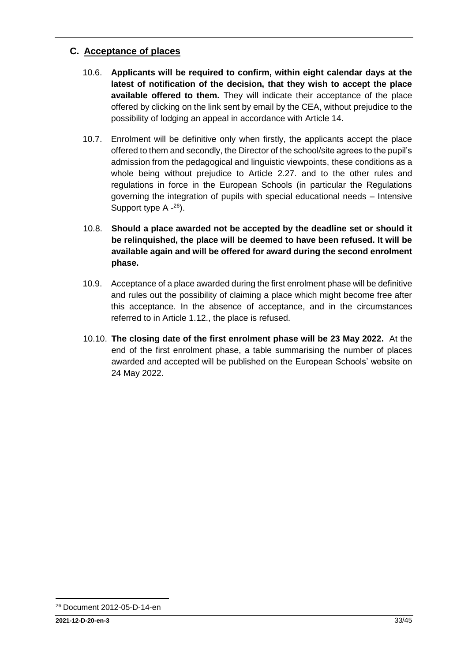# <span id="page-32-0"></span>**C. Acceptance of places**

- 10.6. **Applicants will be required to confirm, within eight calendar days at the latest of notification of the decision, that they wish to accept the place available offered to them.** They will indicate their acceptance of the place offered by clicking on the link sent by email by the CEA, without prejudice to the possibility of lodging an appeal in accordance with Article 14.
- 10.7. Enrolment will be definitive only when firstly, the applicants accept the place offered to them and secondly, the Director of the school/site agrees to the pupil's admission from the pedagogical and linguistic viewpoints, these conditions as a whole being without prejudice to Article 2.27. and to the other rules and regulations in force in the European Schools (in particular the Regulations governing the integration of pupils with special educational needs – Intensive Support type A -<sup>26</sup>).
- 10.8. **Should a place awarded not be accepted by the deadline set or should it be relinquished, the place will be deemed to have been refused. It will be available again and will be offered for award during the second enrolment phase.**
- 10.9. Acceptance of a place awarded during the first enrolment phase will be definitive and rules out the possibility of claiming a place which might become free after this acceptance. In the absence of acceptance, and in the circumstances referred to in Article 1.12., the place is refused.
- 10.10. **The closing date of the first enrolment phase will be 23 May 2022.** At the end of the first enrolment phase, a table summarising the number of places awarded and accepted will be published on the European Schools' website on 24 May 2022.

<sup>1</sup> <sup>26</sup> Document 2012-05-D-14-en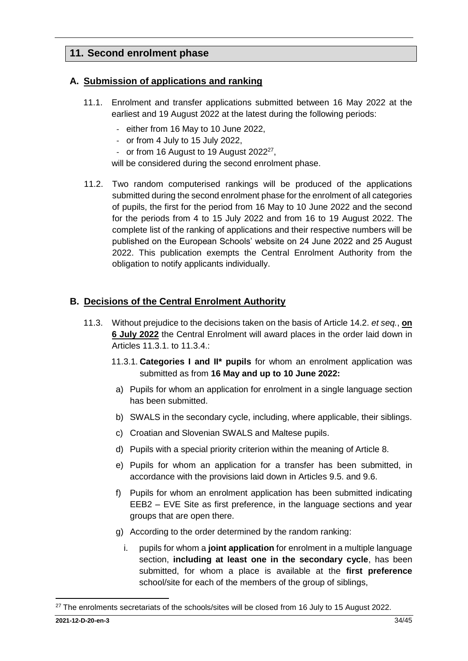# <span id="page-33-0"></span>**11. Second enrolment phase**

### <span id="page-33-1"></span>**A. Submission of applications and ranking**

- 11.1. Enrolment and transfer applications submitted between 16 May 2022 at the earliest and 19 August 2022 at the latest during the following periods:
	- either from 16 May to 10 June 2022,
	- or from 4 July to 15 July 2022,
	- or from 16 August to 19 August 2022<sup>27</sup>,

will be considered during the second enrolment phase.

11.2. Two random computerised rankings will be produced of the applications submitted during the second enrolment phase for the enrolment of all categories of pupils, the first for the period from 16 May to 10 June 2022 and the second for the periods from 4 to 15 July 2022 and from 16 to 19 August 2022. The complete list of the ranking of applications and their respective numbers will be published on the European Schools' website on 24 June 2022 and 25 August 2022. This publication exempts the Central Enrolment Authority from the obligation to notify applicants individually.

### <span id="page-33-2"></span>**B. Decisions of the Central Enrolment Authority**

- 11.3. Without prejudice to the decisions taken on the basis of Article 14.2. *et seq.*, **on 6 July 2022** the Central Enrolment will award places in the order laid down in Articles 11.3.1. to 11.3.4.:
	- 11.3.1. **Categories I and II\* pupils** for whom an enrolment application was submitted as from **16 May and up to 10 June 2022:**
	- a) Pupils for whom an application for enrolment in a single language section has been submitted.
	- b) SWALS in the secondary cycle, including, where applicable, their siblings.
	- c) Croatian and Slovenian SWALS and Maltese pupils.
	- d) Pupils with a special priority criterion within the meaning of Article 8.
	- e) Pupils for whom an application for a transfer has been submitted, in accordance with the provisions laid down in Articles 9.5. and 9.6.
	- f) Pupils for whom an enrolment application has been submitted indicating EEB2 – EVE Site as first preference, in the language sections and year groups that are open there.
	- g) According to the order determined by the random ranking:
		- i. pupils for whom a **joint application** for enrolment in a multiple language section, **including at least one in the secondary cycle**, has been submitted, for whom a place is available at the **first preference** school/site for each of the members of the group of siblings,

1

<sup>&</sup>lt;sup>27</sup> The enrolments secretariats of the schools/sites will be closed from 16 July to 15 August 2022.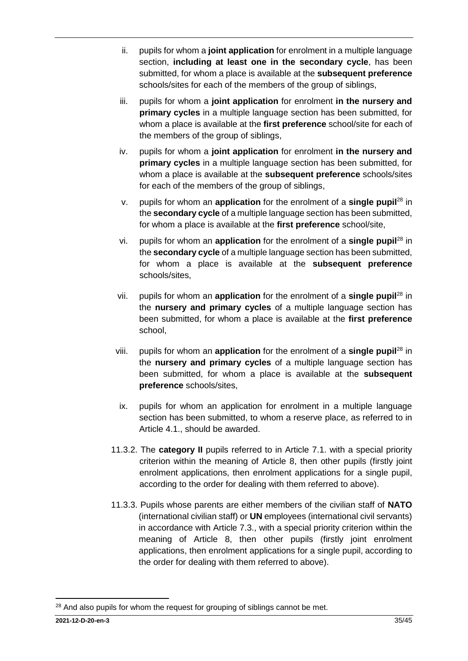- ii. pupils for whom a **joint application** for enrolment in a multiple language section, **including at least one in the secondary cycle**, has been submitted, for whom a place is available at the **subsequent preference** schools/sites for each of the members of the group of siblings,
- iii. pupils for whom a **joint application** for enrolment **in the nursery and primary cycles** in a multiple language section has been submitted, for whom a place is available at the **first preference** school/site for each of the members of the group of siblings,
- iv. pupils for whom a **joint application** for enrolment **in the nursery and primary cycles** in a multiple language section has been submitted, for whom a place is available at the **subsequent preference** schools/sites for each of the members of the group of siblings,
- <span id="page-34-0"></span>v. pupils for whom an **application** for the enrolment of a **single pupil**<sup>28</sup> in the **secondary cycle** of a multiple language section has been submitted, for whom a place is available at the **first preference** school/site,
- vi. pupils for whom an **application** for the enrolment of a **single pupil**[28](#page-34-0) in the **secondary cycle** of a multiple language section has been submitted, for whom a place is available at the **subsequent preference** schools/sites,
- vii. pupils for whom an **application** for the enrolment of a **single pupil**[28](#page-34-0) in the **nursery and primary cycles** of a multiple language section has been submitted, for whom a place is available at the **first preference** school,
- viii. pupils for whom an **application** for the enrolment of a **single pupil**[28](#page-34-0) in the **nursery and primary cycles** of a multiple language section has been submitted, for whom a place is available at the **subsequent preference** schools/sites,
- ix. pupils for whom an application for enrolment in a multiple language section has been submitted, to whom a reserve place, as referred to in Article 4.1., should be awarded.
- 11.3.2. The **category II** pupils referred to in Article 7.1. with a special priority criterion within the meaning of Article 8, then other pupils (firstly joint enrolment applications, then enrolment applications for a single pupil, according to the order for dealing with them referred to above).
- 11.3.3. Pupils whose parents are either members of the civilian staff of **NATO** (international civilian staff) or **UN** employees (international civil servants) in accordance with Article 7.3., with a special priority criterion within the meaning of Article 8, then other pupils (firstly joint enrolment applications, then enrolment applications for a single pupil, according to the order for dealing with them referred to above).

<sup>1</sup> <sup>28</sup> And also pupils for whom the request for grouping of siblings cannot be met.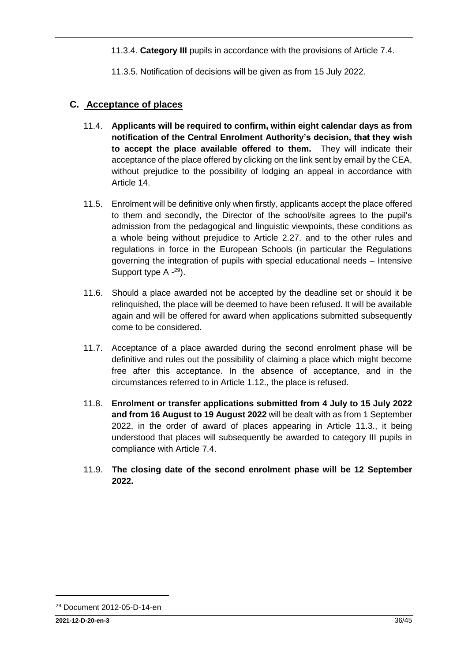11.3.4. **Category III** pupils in accordance with the provisions of Article 7.4.

11.3.5. Notification of decisions will be given as from 15 July 2022.

### <span id="page-35-0"></span>**C. Acceptance of places**

- 11.4. **Applicants will be required to confirm, within eight calendar days as from notification of the Central Enrolment Authority's decision, that they wish to accept the place available offered to them.** They will indicate their acceptance of the place offered by clicking on the link sent by email by the CEA, without prejudice to the possibility of lodging an appeal in accordance with Article 14.
- 11.5. Enrolment will be definitive only when firstly, applicants accept the place offered to them and secondly, the Director of the school/site agrees to the pupil's admission from the pedagogical and linguistic viewpoints, these conditions as a whole being without prejudice to Article 2.27. and to the other rules and regulations in force in the European Schools (in particular the Regulations governing the integration of pupils with special educational needs – Intensive Support type A -<sup>29</sup>).
- 11.6. Should a place awarded not be accepted by the deadline set or should it be relinquished, the place will be deemed to have been refused. It will be available again and will be offered for award when applications submitted subsequently come to be considered.
- 11.7. Acceptance of a place awarded during the second enrolment phase will be definitive and rules out the possibility of claiming a place which might become free after this acceptance. In the absence of acceptance, and in the circumstances referred to in Article 1.12., the place is refused.
- 11.8. **Enrolment or transfer applications submitted from 4 July to 15 July 2022 and from 16 August to 19 August 2022** will be dealt with as from 1 September 2022, in the order of award of places appearing in Article 11.3., it being understood that places will subsequently be awarded to category III pupils in compliance with Article 7.4.
- 11.9. **The closing date of the second enrolment phase will be 12 September 2022.**

<sup>29</sup> Document 2012-05-D-14-en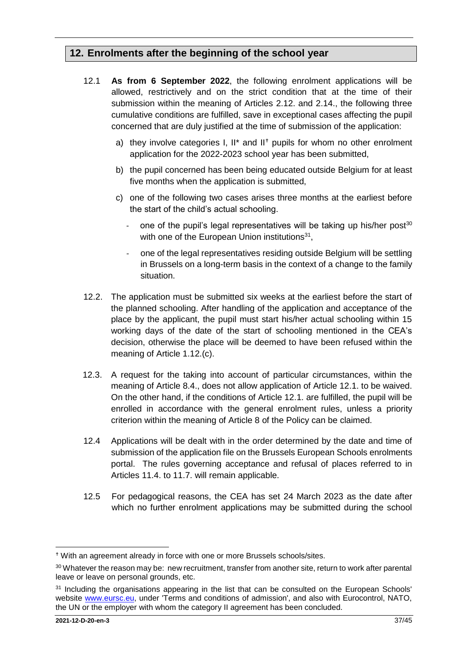# <span id="page-36-0"></span>**12. Enrolments after the beginning of the school year**

- 12.1 **As from 6 September 2022**, the following enrolment applications will be allowed, restrictively and on the strict condition that at the time of their submission within the meaning of Articles 2.12. and 2.14., the following three cumulative conditions are fulfilled, save in exceptional cases affecting the pupil concerned that are duly justified at the time of submission of the application:
	- a) they involve categories I. II\* and II<sup>+</sup> pupils for whom no other enrolment application for the 2022-2023 school year has been submitted,
	- b) the pupil concerned has been being educated outside Belgium for at least five months when the application is submitted,
	- c) one of the following two cases arises three months at the earliest before the start of the child's actual schooling.
		- one of the pupil's legal representatives will be taking up his/her post<sup>30</sup> with one of the European Union institutions<sup>31</sup>,
		- one of the legal representatives residing outside Belgium will be settling in Brussels on a long-term basis in the context of a change to the family situation.
- 12.2. The application must be submitted six weeks at the earliest before the start of the planned schooling. After handling of the application and acceptance of the place by the applicant, the pupil must start his/her actual schooling within 15 working days of the date of the start of schooling mentioned in the CEA's decision, otherwise the place will be deemed to have been refused within the meaning of Article 1.12.(c).
- 12.3. A request for the taking into account of particular circumstances, within the meaning of Article 8.4., does not allow application of Article 12.1. to be waived. On the other hand, if the conditions of Article 12.1. are fulfilled, the pupil will be enrolled in accordance with the general enrolment rules, unless a priority criterion within the meaning of Article 8 of the Policy can be claimed.
- 12.4 Applications will be dealt with in the order determined by the date and time of submission of the application file on the Brussels European Schools enrolments portal. The rules governing acceptance and refusal of places referred to in Articles 11.4. to 11.7. will remain applicable.
- 12.5 For pedagogical reasons, the CEA has set 24 March 2023 as the date after which no further enrolment applications may be submitted during the school

 $\overline{a}$ 

With an agreement already in force with one or more Brussels schools/sites.

<sup>30</sup> Whatever the reason may be: new recruitment, transfer from another site, return to work after parental leave or leave on personal grounds, etc.

<sup>&</sup>lt;sup>31</sup> Including the organisations appearing in the list that can be consulted on the European Schools' website [www.eursc.eu,](http://www.eursc.eu/) under 'Terms and conditions of admission', and also with Eurocontrol, NATO, the UN or the employer with whom the category II agreement has been concluded.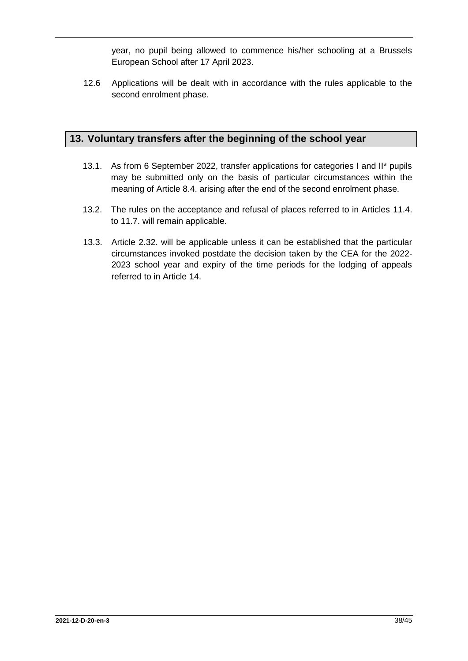year, no pupil being allowed to commence his/her schooling at a Brussels European School after 17 April 2023.

12.6 Applications will be dealt with in accordance with the rules applicable to the second enrolment phase.

# <span id="page-37-0"></span>**13. Voluntary transfers after the beginning of the school year**

- 13.1. As from 6 September 2022, transfer applications for categories I and II\* pupils may be submitted only on the basis of particular circumstances within the meaning of Article 8.4. arising after the end of the second enrolment phase.
- 13.2. The rules on the acceptance and refusal of places referred to in Articles 11.4. to 11.7. will remain applicable.
- 13.3. Article 2.32. will be applicable unless it can be established that the particular circumstances invoked postdate the decision taken by the CEA for the 2022- 2023 school year and expiry of the time periods for the lodging of appeals referred to in Article 14.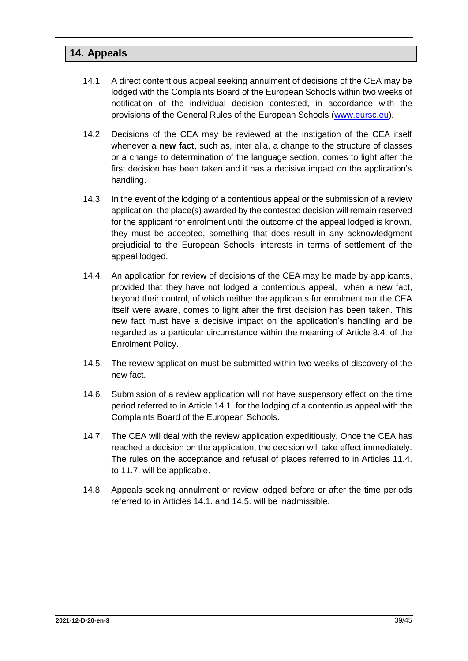### <span id="page-38-0"></span>**14. Appeals**

- 14.1. A direct contentious appeal seeking annulment of decisions of the CEA may be lodged with the Complaints Board of the European Schools within two weeks of notification of the individual decision contested, in accordance with the provisions of the General Rules of the European Schools [\(www.eursc.eu\)](http://www.eursc.eu/).
- 14.2. Decisions of the CEA may be reviewed at the instigation of the CEA itself whenever a **new fact**, such as, inter alia, a change to the structure of classes or a change to determination of the language section, comes to light after the first decision has been taken and it has a decisive impact on the application's handling.
- 14.3. In the event of the lodging of a contentious appeal or the submission of a review application, the place(s) awarded by the contested decision will remain reserved for the applicant for enrolment until the outcome of the appeal lodged is known, they must be accepted, something that does result in any acknowledgment prejudicial to the European Schools' interests in terms of settlement of the appeal lodged.
- 14.4. An application for review of decisions of the CEA may be made by applicants, provided that they have not lodged a contentious appeal, when a new fact, beyond their control, of which neither the applicants for enrolment nor the CEA itself were aware, comes to light after the first decision has been taken. This new fact must have a decisive impact on the application's handling and be regarded as a particular circumstance within the meaning of Article 8.4. of the Enrolment Policy.
- 14.5. The review application must be submitted within two weeks of discovery of the new fact.
- 14.6. Submission of a review application will not have suspensory effect on the time period referred to in Article 14.1. for the lodging of a contentious appeal with the Complaints Board of the European Schools.
- 14.7. The CEA will deal with the review application expeditiously. Once the CEA has reached a decision on the application, the decision will take effect immediately. The rules on the acceptance and refusal of places referred to in Articles 11.4. to 11.7. will be applicable.
- 14.8. Appeals seeking annulment or review lodged before or after the time periods referred to in Articles 14.1. and 14.5. will be inadmissible.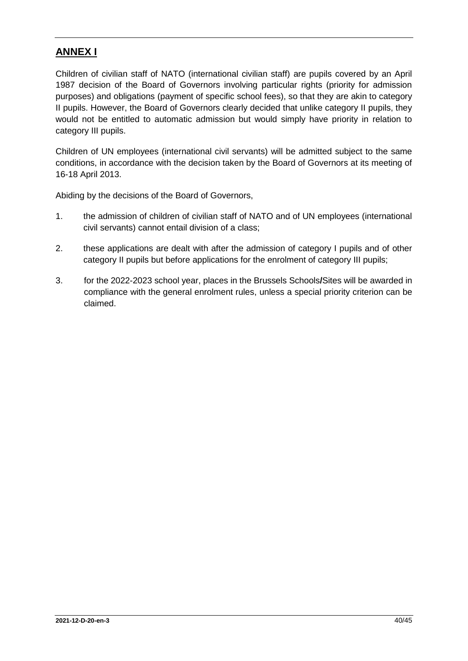# <span id="page-39-0"></span>**ANNEX I**

Children of civilian staff of NATO (international civilian staff) are pupils covered by an April 1987 decision of the Board of Governors involving particular rights (priority for admission purposes) and obligations (payment of specific school fees), so that they are akin to category II pupils. However, the Board of Governors clearly decided that unlike category II pupils, they would not be entitled to automatic admission but would simply have priority in relation to category III pupils.

Children of UN employees (international civil servants) will be admitted subject to the same conditions, in accordance with the decision taken by the Board of Governors at its meeting of 16-18 April 2013.

Abiding by the decisions of the Board of Governors,

- 1. the admission of children of civilian staff of NATO and of UN employees (international civil servants) cannot entail division of a class;
- 2. these applications are dealt with after the admission of category I pupils and of other category II pupils but before applications for the enrolment of category III pupils;
- 3. for the 2022-2023 school year, places in the Brussels Schools**/**Sites will be awarded in compliance with the general enrolment rules, unless a special priority criterion can be claimed.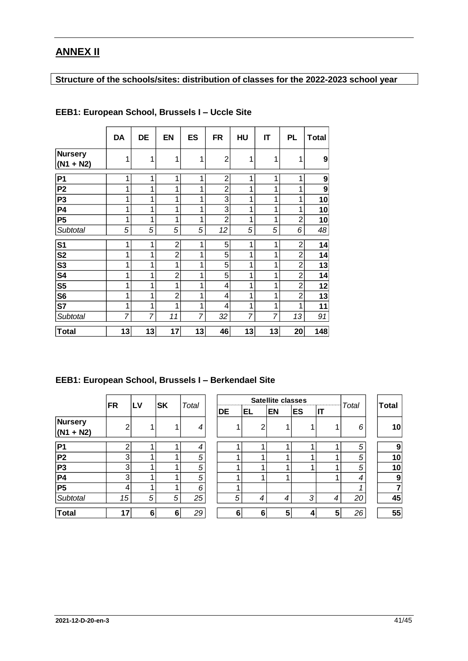# <span id="page-40-0"></span>**ANNEX II**

# **Structure of the schools/sites: distribution of classes for the 2022-2023 school year**

|                               | DA             | DE | <b>EN</b>      | <b>ES</b>      | FR             | HU | IT | PL             | <b>Total</b> |
|-------------------------------|----------------|----|----------------|----------------|----------------|----|----|----------------|--------------|
| <b>Nursery</b><br>$(N1 + N2)$ | 1              | 1  | 1              | 1              | $\overline{2}$ | 1  | 1  | 1              | 9            |
| P <sub>1</sub>                | 1              | 1  | 1              | 1              | $\overline{2}$ | 1  | 1  | 1              | 9            |
| P <sub>2</sub>                | 1              | 1  | 1              | 1              | $\overline{2}$ | 1  | 1  | 1              | 9            |
| P <sub>3</sub>                | 1              | 1  | 1              | 1              | 3              | 1  | 1  | 1              | 10           |
| <b>P4</b>                     | 1              | 1  | 1              | 1              | 3              | 1  | 1  | 1              | 10           |
| P <sub>5</sub>                | 1              | 1  | 1              | 1              | $\overline{2}$ | 1  | 1  | $\overline{2}$ | 10           |
| Subtotal                      | 5              | 5  | 5              | 5              | 12             | 5  | 5  | 6              | 48           |
| S <sub>1</sub>                | 1              | 1  | 2              | 1              | 5              | 1  | 1  | $\overline{2}$ | 14           |
| S <sub>2</sub>                | 1              | 1  | $\overline{2}$ | 1              | 5              | 1  | 1  | 2              | 14           |
| S <sub>3</sub>                | 1              | 1  | 1              | 1              | 5              | 1  | 1  | $\overline{2}$ | 13           |
| S4                            | 1              | 1  | $\overline{2}$ | 1              | 5              | 1  | 1  | $\overline{2}$ | 14           |
| S <sub>5</sub>                | 1              | 1  | 1              | 1              | 4              | 1  | 1  | $\overline{2}$ | 12           |
| S <sub>6</sub>                | 1              | 1  | $\overline{2}$ | 1              | 4              | 1  | 1  | $\overline{2}$ | 13           |
| S7                            | 1              | 1  | 1              | 1              | 4              | 1  | 1  | 1              | 11           |
| Subtotal                      | $\overline{7}$ | 7  | 11             | $\overline{7}$ | 32             | 7  | 7  | 13             | 91           |
| <b>Total</b>                  | 13             | 13 | 17             | 13             | 46             | 13 | 13 | 20             | 148          |

### **EEB1: European School, Brussels I – Uccle Site**

### **EEB1: European School, Brussels I – Berkendael Site**

|                               | <b>FR</b>      | LV | <b>SK</b> | Total |
|-------------------------------|----------------|----|-----------|-------|
| <b>Nursery</b><br>$(N1 + N2)$ | $\overline{2}$ |    |           | 4     |
| P1                            | $\overline{c}$ |    |           | 4     |
| $\overline{P2}$               | 3              |    |           | 5     |
| <b>P3</b>                     | 3              | 1  |           | 5     |
| $\overline{P4}$               | 3              | 1  |           | 5     |
| $\overline{P5}$               | 4              | 1  | 1         | 6     |
| Subtotal                      | 15             | 5  | 5         | 25    |
| <b>Total</b>                  |                | 6  | 6         | 29    |

|                               |                |    |   | <b>SK</b><br>Total |  | <b>Satellite classes</b> |    |   |           |           |              | Total |              |
|-------------------------------|----------------|----|---|--------------------|--|--------------------------|----|---|-----------|-----------|--------------|-------|--------------|
|                               | <b>FR</b>      | LV |   |                    |  | DE                       | EL |   | <b>EN</b> | <b>ES</b> | $\mathsf{I}$ |       | <b>Total</b> |
| <b>Nursery</b><br>$(N1 + N2)$ | $\mathfrak{p}$ |    |   | 4                  |  |                          |    | ⌒ |           |           |              | 6     | 10           |
| P1                            | າ              |    |   | 4                  |  |                          |    |   |           |           |              | 5     | 9            |
| P <sub>2</sub>                | 3              | ٠  |   | 5                  |  |                          |    |   |           |           |              | 5     | 10           |
| P3                            | 3              | ٠  |   | 5                  |  |                          |    |   |           |           |              | 5     | 10           |
| P4                            | 3              | и  |   | 5                  |  |                          |    |   |           |           |              | 4     | 9            |
| P5                            | 4              |    |   | 6                  |  |                          |    |   |           |           |              |       |              |
| <b>Subtotal</b>               | 15             | 5  | 5 | 25                 |  | 5                        |    | 4 | 4         | 3         | 4            | 20    | 45           |
| <b>Total</b>                  | 17             | 6  | 6 | 29                 |  | 6                        |    | 6 | 5         |           | 5            | 26    | 55           |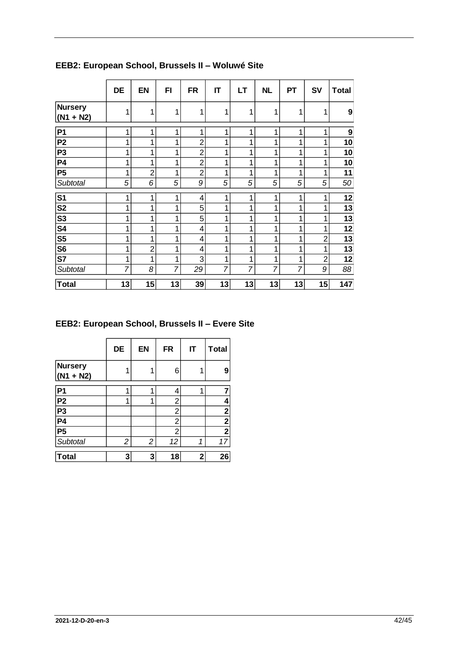|                               | <b>DE</b> | <b>EN</b>      | FI             | <b>FR</b>      | IT | LT | <b>NL</b> | <b>PT</b> | <b>SV</b>      | <b>Total</b>     |
|-------------------------------|-----------|----------------|----------------|----------------|----|----|-----------|-----------|----------------|------------------|
| <b>Nursery</b><br>$(N1 + N2)$ | 1         | 1              | 1              | 1              | 1  |    | 1         | 1         | 1              | 9                |
| P <sub>1</sub>                | 1         | 1              | 1              | 1              | 1  | 1  | 1         | 1         | 1              | $\boldsymbol{9}$ |
| <b>P2</b>                     | 1         | 1              | 1              | $\overline{2}$ | 1  |    | 1         | 1         | 4              | 10               |
| <b>P3</b>                     | 1         | 1              | 1              | $\overline{2}$ | 1  |    | 1         | 1         | 1              | 10               |
| <b>P4</b>                     | 1         | 1              | 1              | $\overline{c}$ | 1  |    | 1         | 1         | 1              | 10               |
| <b>P5</b>                     | 1         | $\overline{2}$ | 1              | $\overline{2}$ | 1  |    | 1         | 1         | 1              | 11               |
| Subtotal                      | 5         | 6              | 5              | 9              | 5  | 5  | 5         | 5         | 5              | 50               |
| S <sub>1</sub>                | 1         | 1              | 1              | 4              | 1  | 1  | 1         | 1         | 1              | 12               |
| S <sub>2</sub>                | 1         | 1              | 1              | 5              | 1  |    | 1         | 1         | 1              | 13               |
| S <sub>3</sub>                | 1         | 1              | 1              | 5              | 1  |    | 1         | 1         | 1              | 13               |
| S4                            | 1         | 1              | 1              | 4              | 1  |    | 1         | 1         | 1              | 12               |
| S <sub>5</sub>                | 1         | 1              | 1              | 4              | 1  |    | 1         | 1         | $\overline{2}$ | 13               |
| S <sub>6</sub>                | 1         | $\overline{2}$ | 1              | 4              | 1  |    | 1         | 1         | 1              | 13               |
| S7                            | 1         | 1              | 1              | 3              | 1  |    | 1         | 1         | $\overline{2}$ | 12               |
| Subtotal                      | 7         | 8              | $\overline{7}$ | 29             | 7  | 7  | 7         | 7         | 9              | 88               |
| <b>Total</b>                  | 13        | 15             | 13             | 39             | 13 | 13 | 13        | 13        | 15             | 147              |

**EEB2: European School, Brussels II – Woluwé Site**

# **EEB2: European School, Brussels II – Evere Site**

|                        | DE | <b>EN</b> | <b>FR</b>      | IT | <b>Total</b>            |
|------------------------|----|-----------|----------------|----|-------------------------|
| Nursery<br>$(N1 + N2)$ | 1  |           | 6              |    | 9                       |
| P1                     | 1  |           | 4              | 1  | 7                       |
| $\frac{P2}{P3}$        | 1  |           | 2              |    | 4                       |
|                        |    |           | 2              |    | 2 <sub>i</sub>          |
|                        |    |           | $\overline{2}$ |    | $\overline{\mathbf{2}}$ |
| P5                     |    |           | $\overline{2}$ |    | $\mathbf{2}$            |
| Subtotal               | 2  | 2         | 12             | 1  | 17                      |
| Total                  | 3  | 3         | 18             | 2  | 26                      |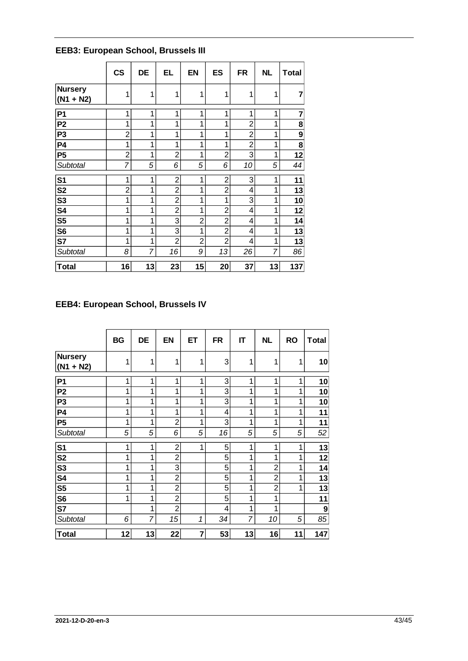|  | <b>EEB3: European School, Brussels III</b> |  |  |
|--|--------------------------------------------|--|--|
|  |                                            |  |  |

|                        | $\mathsf{CS}\phantom{0}$ | DE | <b>EL</b>      | EN             | <b>ES</b>      | <b>FR</b>      | <b>NL</b> | <b>Total</b> |
|------------------------|--------------------------|----|----------------|----------------|----------------|----------------|-----------|--------------|
| Nursery<br>$(N1 + N2)$ | 1                        | 1  | 1              | 1              | 1              | 1              | 1         | 7            |
| P <sub>1</sub>         | 1                        | 1  | 1              | 1              | 1              | 1              | 1         | 7            |
| P <sub>2</sub>         | 1                        | 1  | 1              | 1              | 1              | $\overline{2}$ | 1         | 8            |
| P <sub>3</sub>         | $\overline{2}$           | 1  | 1              | 1              | 1              | $\overline{2}$ | 1         | 9            |
| P <sub>4</sub>         | 1                        | 1  | 1              | 1              | 1              | $\overline{2}$ | 1         | 8            |
| P <sub>5</sub>         | $\overline{2}$           | 1  | $\overline{2}$ | 1              | $\overline{2}$ | 3              | 1         | 12           |
| Subtotal               | 7                        | 5  | 6              | 5              | 6              | 10             | 5         | 44           |
| S <sub>1</sub>         | 1                        | 1  | $\overline{c}$ | 1              | $\overline{2}$ | 3              | 1         | 11           |
| S <sub>2</sub>         | 2                        | 1  | $\overline{2}$ | 1              | $\overline{2}$ | 4              | 1         | 13           |
| S <sub>3</sub>         | 1                        | 1  | $\overline{2}$ | 1              | 1              | 3              | 1         | 10           |
| S4                     | 1                        | 1  | $\overline{2}$ | 1              | $\overline{2}$ | 4              | 1         | 12           |
| S <sub>5</sub>         | 1                        | 1  | 3              | $\overline{2}$ | $\overline{2}$ | 4              | 1         | 14           |
| S <sub>6</sub>         | 1                        | 1  | 3              | 1              | $\overline{2}$ | 4              | 1         | 13           |
| S7                     | 1                        | 1  | $\overline{2}$ | $\overline{c}$ | $\overline{2}$ | 4              | 1         | 13           |
| Subtotal               | 8                        | 7  | 16             | 9              | 13             | 26             | 7         | 86           |
| <b>Total</b>           | 16                       | 13 | 23             | 15             | 20             | 37             | 13        | 137          |

## **EEB4: European School, Brussels IV**

|                               | <b>BG</b> | DE | <b>EN</b>      | ET | <b>FR</b> | IT | <b>NL</b>      | <b>RO</b> | <b>Total</b> |
|-------------------------------|-----------|----|----------------|----|-----------|----|----------------|-----------|--------------|
| <b>Nursery</b><br>$(N1 + N2)$ | 1         | 1  | 1              | 1  | 3         | 1  | 1              | 1         | 10           |
| P <sub>1</sub>                | 1         | 1  | 1              | 1  | 3         | 1  | 1              | 1         | 10           |
| P <sub>2</sub>                | 1         | 1  | 1              | 1  | 3         | 1  | 1              | 1         | 10           |
| P <sub>3</sub>                | 1         | 1  | 1              | 1  | 3         | 1  | 1              | 1         | 10           |
| <b>P4</b>                     | 1         | 1  | 1              | 1  | 4         | 1  | 1              | 1         | 11           |
| P <sub>5</sub>                | 1         | 1  | $\overline{2}$ | 1  | 3         | 1  | 1              | 1         | 11           |
| Subtotal                      | 5         | 5  | 6              | 5  | 16        | 5  | 5              | 5         | 52           |
| S <sub>1</sub>                | 1         | 1  | $\overline{2}$ | 1  | 5         | 1  | 1              | 1         | 13           |
| S <sub>2</sub>                | 1         | 1  | $\overline{2}$ |    | 5         | 1  | 1              | 1         | 12           |
| S <sub>3</sub>                | 1         | 1  | 3              |    | 5         | 1  | $\overline{2}$ | 1         | 14           |
| S4                            | 1         | 1  | $\overline{2}$ |    | 5         | 1  | $\overline{2}$ | 1         | 13           |
| S <sub>5</sub>                | 1         | 1  | $\overline{2}$ |    | 5         | 1  | $\overline{2}$ | 1         | 13           |
| S <sub>6</sub>                | 1         | 1  | $\overline{2}$ |    | 5         | 1  | 1              |           | 11           |
| S7                            |           | 1  | $\overline{2}$ |    | 4         | 1  | 1              |           | 9            |
| Subtotal                      | 6         | 7  | 15             | 1  | 34        | 7  | 10             | 5         | 85           |
| <b>Total</b>                  | 12        | 13 | 22             | 7  | 53        | 13 | 16             | 11        | 147          |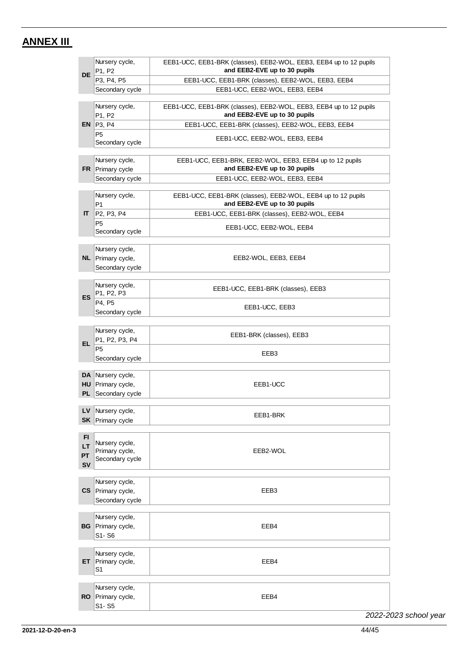# <span id="page-43-0"></span>**ANNEX III**

| <b>DE</b>                   | Nursery cycle,<br>P1, P2                               | EEB1-UCC, EEB1-BRK (classes), EEB2-WOL, EEB3, EEB4 up to 12 pupils<br>and EEB2-EVE up to 30 pupils |
|-----------------------------|--------------------------------------------------------|----------------------------------------------------------------------------------------------------|
|                             | P3, P4, P5                                             | EEB1-UCC, EEB1-BRK (classes), EEB2-WOL, EEB3, EEB4                                                 |
|                             | Secondary cycle                                        | EEB1-UCC, EEB2-WOL, EEB3, EEB4                                                                     |
|                             | Nursery cycle,<br>P1, P2                               | EEB1-UCC, EEB1-BRK (classes), EEB2-WOL, EEB3, EEB4 up to 12 pupils<br>and EEB2-EVE up to 30 pupils |
|                             | EN $ P3, P4$                                           | EEB1-UCC, EEB1-BRK (classes), EEB2-WOL, EEB3, EEB4                                                 |
|                             | P <sub>5</sub><br>Secondary cycle                      | EEB1-UCC, EEB2-WOL, EEB3, EEB4                                                                     |
|                             | Nursery cycle,<br>FR Primary cycle                     | EEB1-UCC, EEB1-BRK, EEB2-WOL, EEB3, EEB4 up to 12 pupils<br>and EEB2-EVE up to 30 pupils           |
|                             | Secondary cycle                                        | EEB1-UCC, EEB2-WOL, EEB3, EEB4                                                                     |
|                             | Nursery cycle,<br>P <sub>1</sub>                       | EEB1-UCC, EEB1-BRK (classes), EEB2-WOL, EEB4 up to 12 pupils<br>and EEB2-EVE up to 30 pupils       |
| $\mathsf{I}$                | P <sub>2</sub> , P <sub>3</sub> , P <sub>4</sub>       | EEB1-UCC, EEB1-BRK (classes), EEB2-WOL, EEB4                                                       |
|                             | P <sub>5</sub><br>Secondary cycle                      | EEB1-UCC, EEB2-WOL, EEB4                                                                           |
|                             | Nursery cycle,<br>NL Primary cycle,<br>Secondary cycle | EEB2-WOL, EEB3, EEB4                                                                               |
| ES.                         | Nursery cycle,<br>P1, P2, P3                           | EEB1-UCC, EEB1-BRK (classes), EEB3                                                                 |
|                             | P4. P5<br>Secondary cycle                              | EEB1-UCC, EEB3                                                                                     |
| EL.                         | Nursery cycle,<br>P1, P2, P3, P4                       | EEB1-BRK (classes), EEB3                                                                           |
|                             | P <sub>5</sub><br>Secondary cycle                      | EEB3                                                                                               |
| HU<br>PL                    | DA Nursery cycle,<br>Primary cycle,<br>Secondary cycle | EEB1-UCC                                                                                           |
| LV.                         | Nursery cycle,<br><b>SK</b> Primary cycle              | EEB1-BRK                                                                                           |
| FI<br>LT<br>PT<br><b>SV</b> | Nursery cycle,<br>Primary cycle,<br>Secondary cycle    | EEB2-WOL                                                                                           |
| CS.                         | Nursery cycle,<br>Primary cycle,<br>Secondary cycle    | EEB3                                                                                               |
| BG                          | Nursery cycle,<br>Primary cycle,<br>S1-S6              | EEB4                                                                                               |
| ET.                         | Nursery cycle,<br>Primary cycle,<br>S1                 | EEB4                                                                                               |
| <b>RO</b>                   | Nursery cycle,<br>Primary cycle,<br>S1-S5              | EEB4                                                                                               |

*2022-2023 school year*